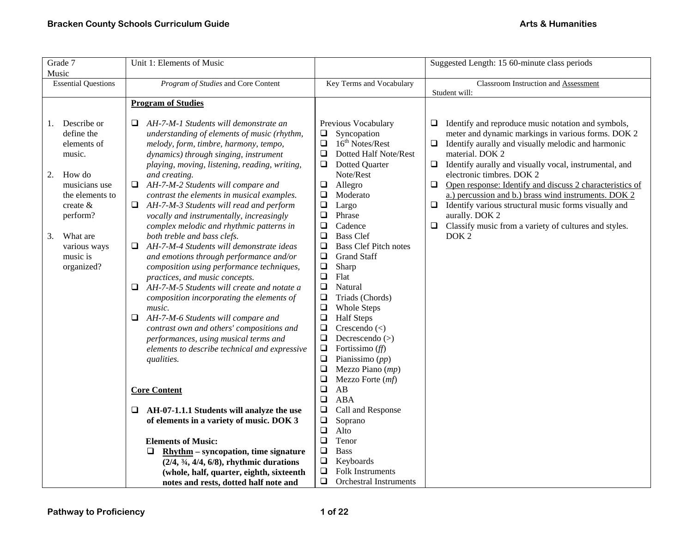| Grade 7<br>Music                                                                                                                                                                                   | Unit 1: Elements of Music                                                                                                                                                                                                                                                                                                                                                                                                                                                                                                                                                                                                                                                                                                                                                                                                                                                                                                |                                                                                                                                                                                                                                                                                                                                                                                                                                                                                                                                                                | Suggested Length: 15 60-minute class periods                                                                                                                                                                                                                                                                                                                                                                                                                                                                                                                                                               |
|----------------------------------------------------------------------------------------------------------------------------------------------------------------------------------------------------|--------------------------------------------------------------------------------------------------------------------------------------------------------------------------------------------------------------------------------------------------------------------------------------------------------------------------------------------------------------------------------------------------------------------------------------------------------------------------------------------------------------------------------------------------------------------------------------------------------------------------------------------------------------------------------------------------------------------------------------------------------------------------------------------------------------------------------------------------------------------------------------------------------------------------|----------------------------------------------------------------------------------------------------------------------------------------------------------------------------------------------------------------------------------------------------------------------------------------------------------------------------------------------------------------------------------------------------------------------------------------------------------------------------------------------------------------------------------------------------------------|------------------------------------------------------------------------------------------------------------------------------------------------------------------------------------------------------------------------------------------------------------------------------------------------------------------------------------------------------------------------------------------------------------------------------------------------------------------------------------------------------------------------------------------------------------------------------------------------------------|
| <b>Essential Questions</b>                                                                                                                                                                         | Program of Studies and Core Content                                                                                                                                                                                                                                                                                                                                                                                                                                                                                                                                                                                                                                                                                                                                                                                                                                                                                      | Key Terms and Vocabulary                                                                                                                                                                                                                                                                                                                                                                                                                                                                                                                                       | Classroom Instruction and Assessment                                                                                                                                                                                                                                                                                                                                                                                                                                                                                                                                                                       |
|                                                                                                                                                                                                    |                                                                                                                                                                                                                                                                                                                                                                                                                                                                                                                                                                                                                                                                                                                                                                                                                                                                                                                          |                                                                                                                                                                                                                                                                                                                                                                                                                                                                                                                                                                | Student will:                                                                                                                                                                                                                                                                                                                                                                                                                                                                                                                                                                                              |
|                                                                                                                                                                                                    |                                                                                                                                                                                                                                                                                                                                                                                                                                                                                                                                                                                                                                                                                                                                                                                                                                                                                                                          |                                                                                                                                                                                                                                                                                                                                                                                                                                                                                                                                                                |                                                                                                                                                                                                                                                                                                                                                                                                                                                                                                                                                                                                            |
|                                                                                                                                                                                                    |                                                                                                                                                                                                                                                                                                                                                                                                                                                                                                                                                                                                                                                                                                                                                                                                                                                                                                                          |                                                                                                                                                                                                                                                                                                                                                                                                                                                                                                                                                                |                                                                                                                                                                                                                                                                                                                                                                                                                                                                                                                                                                                                            |
| Describe or<br>1.<br>define the<br>elements of<br>music.<br>How do<br>2.<br>musicians use<br>the elements to<br>create $&$<br>perform?<br>What are<br>3.<br>various ways<br>music is<br>organized? | <b>Program of Studies</b><br>AH-7-M-1 Students will demonstrate an<br>understanding of elements of music (rhythm,<br>melody, form, timbre, harmony, tempo,<br>dynamics) through singing, instrument<br>playing, moving, listening, reading, writing,<br>and creating.<br>AH-7-M-2 Students will compare and<br>□<br>contrast the elements in musical examples.<br>AH-7-M-3 Students will read and perform<br>Q.<br>vocally and instrumentally, increasingly<br>complex melodic and rhythmic patterns in<br>both treble and bass clefs.<br>AH-7-M-4 Students will demonstrate ideas<br>□<br>and emotions through performance and/or<br>composition using performance techniques,<br>practices, and music concepts.<br>AH-7-M-5 Students will create and notate a<br>□<br>composition incorporating the elements of<br>music.<br>$\Box$<br>AH-7-M-6 Students will compare and<br>contrast own and others' compositions and | Previous Vocabulary<br>Syncopation<br>❏<br>16 <sup>th</sup> Notes/Rest<br>❏<br>$\Box$<br>Dotted Half Note/Rest<br><b>Dotted Quarter</b><br>$\Box$<br>Note/Rest<br>$\Box$<br>Allegro<br>$\Box$<br>Moderato<br>$\Box$<br>Largo<br>$\Box$<br>Phrase<br>$\Box$<br>Cadence<br>$\Box$<br><b>Bass Clef</b><br>$\Box$<br><b>Bass Clef Pitch notes</b><br>$\Box$<br><b>Grand Staff</b><br>$\Box$<br>Sharp<br>$\Box$<br>Flat<br>$\Box$<br>Natural<br>$\Box$<br>Triads (Chords)<br>$\Box$<br><b>Whole Steps</b><br>$\Box$<br><b>Half Steps</b><br>Crescendo $(\leq)$<br>❏ | Identify and reproduce music notation and symbols,<br>$\Box$<br>meter and dynamic markings in various forms. DOK 2<br>Identify aurally and visually melodic and harmonic<br>❏<br>material. DOK 2<br>Identify aurally and visually vocal, instrumental, and<br>$\Box$<br>electronic timbres. DOK 2<br>Open response: Identify and discuss 2 characteristics of<br>$\Box$<br>a.) percussion and b.) brass wind instruments. DOK 2<br>$\Box$<br>Identify various structural music forms visually and<br>aurally. DOK 2<br>Classify music from a variety of cultures and styles.<br>$\Box$<br>DOK <sub>2</sub> |
|                                                                                                                                                                                                    | performances, using musical terms and<br>elements to describe technical and expressive<br>qualities.<br><b>Core Content</b><br>AH-07-1.1.1 Students will analyze the use<br>⊔<br>of elements in a variety of music. DOK 3<br><b>Elements of Music:</b><br>$R$ hythm – syncopation, time signature<br>⊔<br>$(2/4, \frac{3}{4}, \frac{4}{4}, \frac{6}{8})$ , rhythmic durations<br>(whole, half, quarter, eighth, sixteenth<br>notes and rests, dotted half note and                                                                                                                                                                                                                                                                                                                                                                                                                                                       | $\Box$<br>Decrescendo $(>)$<br>$\Box$<br>Fortissimo $(ff)$<br>$\Box$<br>Pianissimo $(pp)$<br>$\Box$<br>Mezzo Piano (mp)<br>$\Box$<br>Mezzo Forte (mf)<br>$\Box$<br>AB<br>$\Box$<br><b>ABA</b><br>$\Box$<br>Call and Response<br>$\Box$<br>Soprano<br>$\Box$<br>Alto<br>$\Box$<br>Tenor<br>$\Box$<br><b>Bass</b><br>$\Box$<br>Keyboards<br>$\Box$<br>Folk Instruments<br>$\Box$<br><b>Orchestral Instruments</b>                                                                                                                                                |                                                                                                                                                                                                                                                                                                                                                                                                                                                                                                                                                                                                            |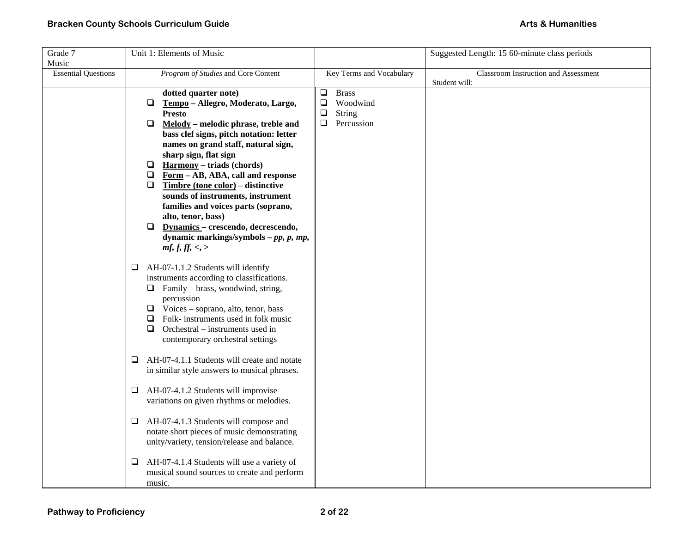| Grade 7                    | Unit 1: Elements of Music                                           |                                              | Suggested Length: 15 60-minute class periods |
|----------------------------|---------------------------------------------------------------------|----------------------------------------------|----------------------------------------------|
| Music                      |                                                                     |                                              |                                              |
| <b>Essential Questions</b> | Program of Studies and Core Content                                 | Key Terms and Vocabulary                     | Classroom Instruction and Assessment         |
|                            |                                                                     |                                              | Student will:                                |
|                            | dotted quarter note)<br>$\Box$<br>Tempo - Allegro, Moderato, Largo, | $\Box$<br><b>Brass</b><br>Woodwind<br>$\Box$ |                                              |
|                            | <b>Presto</b>                                                       | $\Box$<br><b>String</b>                      |                                              |
|                            | $\Box$<br>Melody - melodic phrase, treble and                       | Percussion<br>0                              |                                              |
|                            | bass clef signs, pitch notation: letter                             |                                              |                                              |
|                            | names on grand staff, natural sign,                                 |                                              |                                              |
|                            | sharp sign, flat sign                                               |                                              |                                              |
|                            | <b>Harmony</b> – triads (chords)<br>❏                               |                                              |                                              |
|                            | $\Box$<br>Form - AB, ABA, call and response                         |                                              |                                              |
|                            | $\Box$<br>Timbre (tone color) – distinctive                         |                                              |                                              |
|                            | sounds of instruments, instrument                                   |                                              |                                              |
|                            | families and voices parts (soprano,<br>alto, tenor, bass)           |                                              |                                              |
|                            | Dynamics - crescendo, decrescendo,<br>❏                             |                                              |                                              |
|                            | dynamic markings/symbols $-pp$ , $p$ , $mp$ ,                       |                                              |                                              |
|                            | mf, f, ff, <, >                                                     |                                              |                                              |
|                            |                                                                     |                                              |                                              |
|                            | AH-07-1.1.2 Students will identify<br>$\Box$                        |                                              |                                              |
|                            | instruments according to classifications.                           |                                              |                                              |
|                            | $\Box$ Family – brass, woodwind, string,                            |                                              |                                              |
|                            | percussion<br>$\Box$ Voices – soprano, alto, tenor, bass            |                                              |                                              |
|                            | Folk- instruments used in folk music<br>$\Box$                      |                                              |                                              |
|                            | Orchestral – instruments used in<br>Q.                              |                                              |                                              |
|                            | contemporary orchestral settings                                    |                                              |                                              |
|                            |                                                                     |                                              |                                              |
|                            | AH-07-4.1.1 Students will create and notate<br>⊔                    |                                              |                                              |
|                            | in similar style answers to musical phrases.                        |                                              |                                              |
|                            |                                                                     |                                              |                                              |
|                            | AH-07-4.1.2 Students will improvise<br>□                            |                                              |                                              |
|                            | variations on given rhythms or melodies.                            |                                              |                                              |
|                            | AH-07-4.1.3 Students will compose and<br>Q.                         |                                              |                                              |
|                            | notate short pieces of music demonstrating                          |                                              |                                              |
|                            | unity/variety, tension/release and balance.                         |                                              |                                              |
|                            | AH-07-4.1.4 Students will use a variety of<br>❏                     |                                              |                                              |
|                            | musical sound sources to create and perform                         |                                              |                                              |
|                            | music.                                                              |                                              |                                              |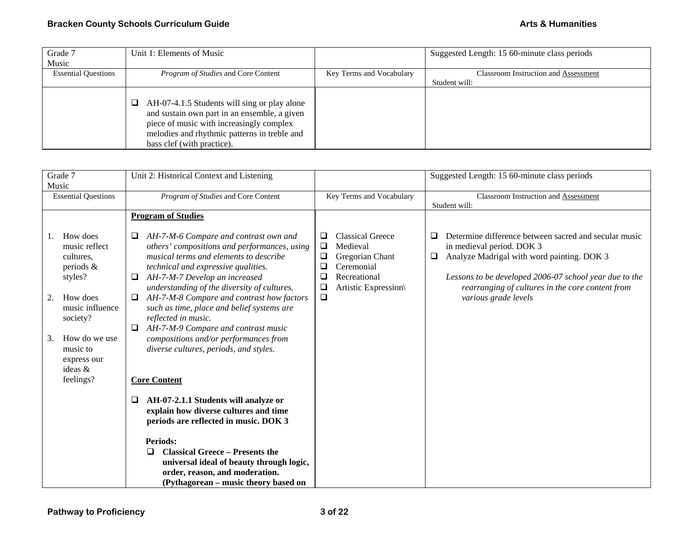| Grade 7                    | Unit 1: Elements of Music                                                                                                                                                                                                   |                          | Suggested Length: 15 60-minute class periods |
|----------------------------|-----------------------------------------------------------------------------------------------------------------------------------------------------------------------------------------------------------------------------|--------------------------|----------------------------------------------|
| Music                      |                                                                                                                                                                                                                             |                          |                                              |
| <b>Essential Questions</b> | <i>Program of Studies</i> and Core Content                                                                                                                                                                                  | Key Terms and Vocabulary | <b>Classroom Instruction and Assessment</b>  |
|                            |                                                                                                                                                                                                                             |                          | Student will:                                |
|                            | AH-07-4.1.5 Students will sing or play alone<br>u<br>and sustain own part in an ensemble, a given<br>piece of music with increasingly complex<br>melodies and rhythmic patterns in treble and<br>bass clef (with practice). |                          |                                              |

| Grade 7                                                                                                                                                                                               | Unit 2: Historical Context and Listening                                                                                                                                                                                                                                                                                                                                                                                                                                                                                                                                                                                                                                                        |                                                                                                                                                                             | Suggested Length: 15 60-minute class periods                                                                                                                                                                                                                                                      |
|-------------------------------------------------------------------------------------------------------------------------------------------------------------------------------------------------------|-------------------------------------------------------------------------------------------------------------------------------------------------------------------------------------------------------------------------------------------------------------------------------------------------------------------------------------------------------------------------------------------------------------------------------------------------------------------------------------------------------------------------------------------------------------------------------------------------------------------------------------------------------------------------------------------------|-----------------------------------------------------------------------------------------------------------------------------------------------------------------------------|---------------------------------------------------------------------------------------------------------------------------------------------------------------------------------------------------------------------------------------------------------------------------------------------------|
| <b>Essential Questions</b>                                                                                                                                                                            | Program of Studies and Core Content                                                                                                                                                                                                                                                                                                                                                                                                                                                                                                                                                                                                                                                             | Key Terms and Vocabulary                                                                                                                                                    | <b>Classroom Instruction and Assessment</b>                                                                                                                                                                                                                                                       |
| Music<br>How does<br>music reflect<br>cultures.<br>periods $\&$<br>styles?<br>How does<br>2.<br>music influence<br>society?<br>How do we use<br>3.<br>music to<br>express our<br>ideas &<br>feelings? | <b>Program of Studies</b><br>AH-7-M-6 Compare and contrast own and<br>others' compositions and performances, using<br>musical terms and elements to describe<br>technical and expressive qualities.<br>AH-7-M-7 Develop an increased<br>⊔<br>understanding of the diversity of cultures.<br>AH-7-M-8 Compare and contrast how factors<br>such as time, place and belief systems are<br>reflected in music.<br>AH-7-M-9 Compare and contrast music<br>⊔<br>compositions and/or performances from<br>diverse cultures, periods, and styles.<br><b>Core Content</b><br>AH-07-2.1.1 Students will analyze or<br>❏<br>explain how diverse cultures and time<br>periods are reflected in music. DOK 3 | <b>Classical Greece</b><br>❏<br>Medieval<br>❏<br>❏<br>Gregorian Chant<br>Ceremonial<br>$\overline{\phantom{0}}$<br>□<br>Recreational<br>❏<br>Artistic Expression\<br>$\Box$ | Student will:<br>Determine difference between sacred and secular music<br>❏<br>in medieval period. DOK 3<br>Analyze Madrigal with word painting. DOK 3<br>❏<br>Lessons to be developed 2006-07 school year due to the<br>rearranging of cultures in the core content from<br>various grade levels |
|                                                                                                                                                                                                       | <b>Periods:</b><br><b>Classical Greece - Presents the</b><br>$\Box$<br>universal ideal of beauty through logic,<br>order, reason, and moderation.<br>(Pythagorean – music theory based on                                                                                                                                                                                                                                                                                                                                                                                                                                                                                                       |                                                                                                                                                                             |                                                                                                                                                                                                                                                                                                   |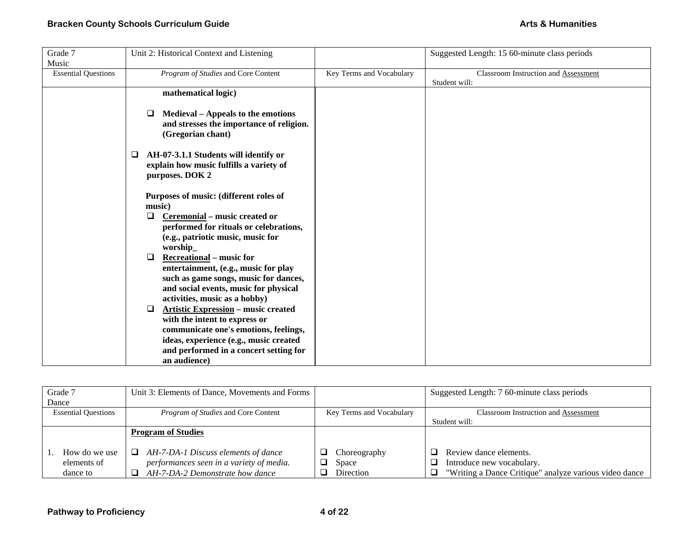| Grade 7                    | Unit 2: Historical Context and Listening                                                                        |                          | Suggested Length: 15 60-minute class periods |
|----------------------------|-----------------------------------------------------------------------------------------------------------------|--------------------------|----------------------------------------------|
| Music                      |                                                                                                                 |                          |                                              |
| <b>Essential Questions</b> | Program of Studies and Core Content                                                                             | Key Terms and Vocabulary | Classroom Instruction and Assessment         |
|                            |                                                                                                                 |                          | Student will:                                |
|                            | mathematical logic)                                                                                             |                          |                                              |
|                            | <b>Medieval</b> – Appeals to the emotions<br>ч<br>and stresses the importance of religion.<br>(Gregorian chant) |                          |                                              |
|                            | AH-07-3.1.1 Students will identify or<br>□<br>explain how music fulfills a variety of                           |                          |                                              |
|                            | purposes. DOK 2                                                                                                 |                          |                                              |
|                            | Purposes of music: (different roles of<br>music)                                                                |                          |                                              |
|                            | Ceremonial – music created or<br>□                                                                              |                          |                                              |
|                            | performed for rituals or celebrations,                                                                          |                          |                                              |
|                            | (e.g., patriotic music, music for                                                                               |                          |                                              |
|                            | worship_                                                                                                        |                          |                                              |
|                            | <b>Recreational</b> – music for<br>□                                                                            |                          |                                              |
|                            | entertainment, (e.g., music for play                                                                            |                          |                                              |
|                            | such as game songs, music for dances,                                                                           |                          |                                              |
|                            | and social events, music for physical                                                                           |                          |                                              |
|                            | activities, music as a hobby)<br><b>Artistic Expression – music created</b><br>□                                |                          |                                              |
|                            | with the intent to express or                                                                                   |                          |                                              |
|                            | communicate one's emotions, feelings,                                                                           |                          |                                              |
|                            | ideas, experience (e.g., music created                                                                          |                          |                                              |
|                            | and performed in a concert setting for                                                                          |                          |                                              |
|                            | an audience)                                                                                                    |                          |                                              |

| Grade 7                    | Unit 3: Elements of Dance, Movements and Forms |                          | Suggested Length: 7 60-minute class periods            |
|----------------------------|------------------------------------------------|--------------------------|--------------------------------------------------------|
| Dance                      |                                                |                          |                                                        |
| <b>Essential Questions</b> | <i>Program of Studies</i> and Core Content     | Key Terms and Vocabulary | <b>Classroom Instruction and Assessment</b>            |
|                            |                                                |                          | Student will:                                          |
|                            | <b>Program of Studies</b>                      |                          |                                                        |
|                            |                                                |                          |                                                        |
| How do we use              | AH-7-DA-1 Discuss elements of dance<br>⊔       | Choreography             | Review dance elements.                                 |
| elements of                | performances seen in a variety of media.       | Space                    | Introduce new vocabulary.<br>– ∣                       |
| dance to                   | AH-7-DA-2 Demonstrate how dance                | Direction                | "Writing a Dance Critique" analyze various video dance |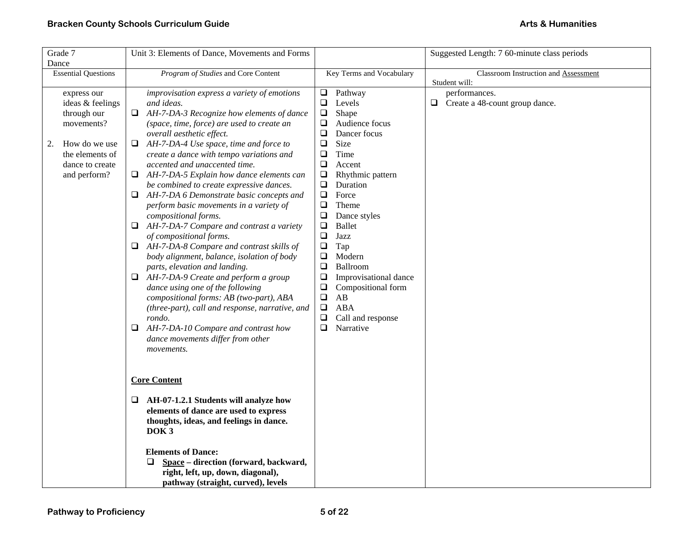| Grade 7                                                                                                                                   | Unit 3: Elements of Dance, Movements and Forms                                                                                                                                                                                                                                                                                                                                                                                                                                                                                                                                                                                                                                                                                                                                                                                                                                                                                                                                                                                                          |                                                                                                                                                                                                                                                                                                                                                                                                                                                                                                                                              | Suggested Length: 7 60-minute class periods                             |
|-------------------------------------------------------------------------------------------------------------------------------------------|---------------------------------------------------------------------------------------------------------------------------------------------------------------------------------------------------------------------------------------------------------------------------------------------------------------------------------------------------------------------------------------------------------------------------------------------------------------------------------------------------------------------------------------------------------------------------------------------------------------------------------------------------------------------------------------------------------------------------------------------------------------------------------------------------------------------------------------------------------------------------------------------------------------------------------------------------------------------------------------------------------------------------------------------------------|----------------------------------------------------------------------------------------------------------------------------------------------------------------------------------------------------------------------------------------------------------------------------------------------------------------------------------------------------------------------------------------------------------------------------------------------------------------------------------------------------------------------------------------------|-------------------------------------------------------------------------|
| Dance                                                                                                                                     |                                                                                                                                                                                                                                                                                                                                                                                                                                                                                                                                                                                                                                                                                                                                                                                                                                                                                                                                                                                                                                                         |                                                                                                                                                                                                                                                                                                                                                                                                                                                                                                                                              |                                                                         |
| <b>Essential Questions</b>                                                                                                                | Program of Studies and Core Content                                                                                                                                                                                                                                                                                                                                                                                                                                                                                                                                                                                                                                                                                                                                                                                                                                                                                                                                                                                                                     | Key Terms and Vocabulary                                                                                                                                                                                                                                                                                                                                                                                                                                                                                                                     | Classroom Instruction and Assessment                                    |
| express our<br>ideas & feelings<br>through our<br>movements?<br>How do we use<br>2.<br>the elements of<br>dance to create<br>and perform? | improvisation express a variety of emotions<br>and ideas.<br>AH-7-DA-3 Recognize how elements of dance<br>Q.<br>(space, time, force) are used to create an<br>overall aesthetic effect.<br>$\Box$ AH-7-DA-4 Use space, time and force to<br>create a dance with tempo variations and<br>accented and unaccented time.<br>AH-7-DA-5 Explain how dance elements can<br>⊔<br>be combined to create expressive dances.<br>AH-7-DA 6 Demonstrate basic concepts and<br>Q.<br>perform basic movements in a variety of<br>compositional forms.<br>$\Box$ AH-7-DA-7 Compare and contrast a variety<br>of compositional forms.<br>$\Box$ AH-7-DA-8 Compare and contrast skills of<br>body alignment, balance, isolation of body<br>parts, elevation and landing.<br>AH-7-DA-9 Create and perform a group<br>Q.<br>dance using one of the following<br>compositional forms: AB (two-part), ABA<br>(three-part), call and response, narrative, and<br>rondo.<br>AH-7-DA-10 Compare and contrast how<br>Q<br>dance movements differ from other<br><i>movements.</i> | $\Box$ Pathway<br>$\Box$<br>Levels<br>$\Box$<br>Shape<br>Audience focus<br>❏<br>❏<br>Dancer focus<br>$\Box$<br>Size<br>$\Box$<br>Time<br>$\Box$<br>Accent<br>$\Box$<br>Rhythmic pattern<br>$\Box$<br>Duration<br>Force<br>$\Box$<br>$\Box$<br>Theme<br>$\Box$<br>Dance styles<br><b>Ballet</b><br>$\Box$<br>❏<br>Jazz<br>$\Box$<br>Tap<br>Modern<br>❏<br>$\Box$<br>Ballroom<br>$\Box$<br>Improvisational dance<br>$\Box$<br>Compositional form<br>$\Box$<br>AB<br>$\Box$<br><b>ABA</b><br>Call and response<br>$\Box$<br>$\Box$<br>Narrative | Student will:<br>performances.<br>$\Box$ Create a 48-count group dance. |
|                                                                                                                                           | <b>Core Content</b><br>AH-07-1.2.1 Students will analyze how<br>Q<br>elements of dance are used to express<br>thoughts, ideas, and feelings in dance.<br>DOK <sub>3</sub><br><b>Elements of Dance:</b><br>Space - direction (forward, backward,<br>⊔<br>right, left, up, down, diagonal),<br>pathway (straight, curved), levels                                                                                                                                                                                                                                                                                                                                                                                                                                                                                                                                                                                                                                                                                                                         |                                                                                                                                                                                                                                                                                                                                                                                                                                                                                                                                              |                                                                         |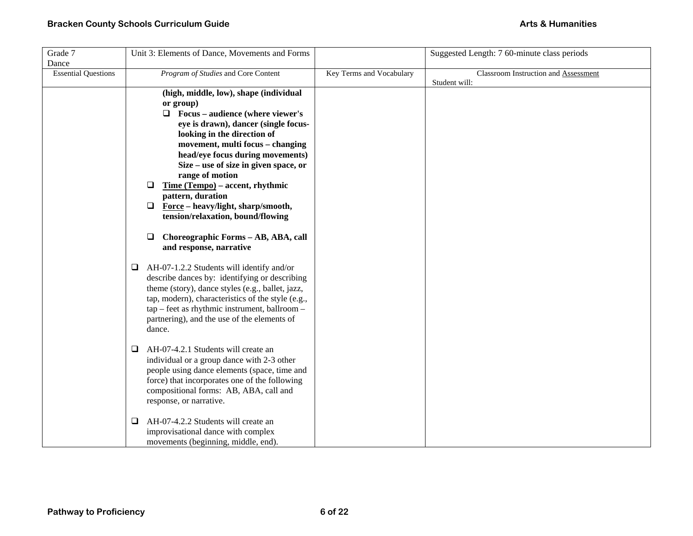| Grade 7                    | Unit 3: Elements of Dance, Movements and Forms                            |                          | Suggested Length: 7 60-minute class periods |
|----------------------------|---------------------------------------------------------------------------|--------------------------|---------------------------------------------|
| Dance                      |                                                                           |                          |                                             |
| <b>Essential Questions</b> | Program of Studies and Core Content                                       | Key Terms and Vocabulary | <b>Classroom Instruction and Assessment</b> |
|                            |                                                                           |                          | Student will:                               |
|                            | (high, middle, low), shape (individual                                    |                          |                                             |
|                            | or group)                                                                 |                          |                                             |
|                            | $\Box$ Focus – audience (where viewer's                                   |                          |                                             |
|                            | eye is drawn), dancer (single focus-                                      |                          |                                             |
|                            | looking in the direction of                                               |                          |                                             |
|                            | movement, multi focus - changing                                          |                          |                                             |
|                            | head/eye focus during movements)<br>Size – use of size in given space, or |                          |                                             |
|                            | range of motion                                                           |                          |                                             |
|                            | Time (Tempo) – accent, rhythmic<br>Q.                                     |                          |                                             |
|                            | pattern, duration                                                         |                          |                                             |
|                            | $\Box$ Force – heavy/light, sharp/smooth,                                 |                          |                                             |
|                            | tension/relaxation, bound/flowing                                         |                          |                                             |
|                            |                                                                           |                          |                                             |
|                            | Choreographic Forms - AB, ABA, call<br>□                                  |                          |                                             |
|                            | and response, narrative                                                   |                          |                                             |
|                            |                                                                           |                          |                                             |
|                            | AH-07-1.2.2 Students will identify and/or<br>⊔                            |                          |                                             |
|                            | describe dances by: identifying or describing                             |                          |                                             |
|                            | theme (story), dance styles (e.g., ballet, jazz,                          |                          |                                             |
|                            | tap, modern), characteristics of the style (e.g.,                         |                          |                                             |
|                            | tap - feet as rhythmic instrument, ballroom -                             |                          |                                             |
|                            | partnering), and the use of the elements of                               |                          |                                             |
|                            | dance.                                                                    |                          |                                             |
|                            |                                                                           |                          |                                             |
|                            | AH-07-4.2.1 Students will create an<br>$\Box$                             |                          |                                             |
|                            | individual or a group dance with 2-3 other                                |                          |                                             |
|                            | people using dance elements (space, time and                              |                          |                                             |
|                            | force) that incorporates one of the following                             |                          |                                             |
|                            | compositional forms: AB, ABA, call and<br>response, or narrative.         |                          |                                             |
|                            |                                                                           |                          |                                             |
|                            | AH-07-4.2.2 Students will create an<br>□                                  |                          |                                             |
|                            | improvisational dance with complex                                        |                          |                                             |
|                            | movements (beginning, middle, end).                                       |                          |                                             |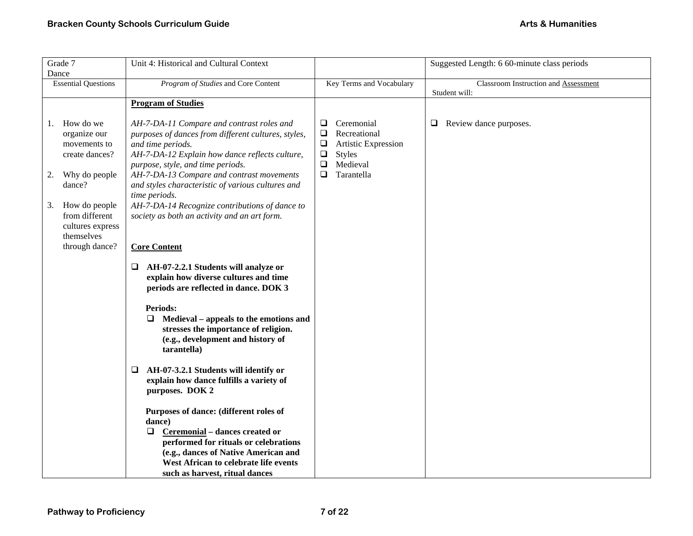| Grade 7                                                                                                                                                                                         | Unit 4: Historical and Cultural Context                                                                                                                                                                                                                                                                                                                                                                                                                                                                                                                                                                                                                                                                                                                                                                                                                                                                                                                                                                                                                                                |                                                                                                                                                     | Suggested Length: 6 60-minute class periods |
|-------------------------------------------------------------------------------------------------------------------------------------------------------------------------------------------------|----------------------------------------------------------------------------------------------------------------------------------------------------------------------------------------------------------------------------------------------------------------------------------------------------------------------------------------------------------------------------------------------------------------------------------------------------------------------------------------------------------------------------------------------------------------------------------------------------------------------------------------------------------------------------------------------------------------------------------------------------------------------------------------------------------------------------------------------------------------------------------------------------------------------------------------------------------------------------------------------------------------------------------------------------------------------------------------|-----------------------------------------------------------------------------------------------------------------------------------------------------|---------------------------------------------|
| Dance<br><b>Essential Questions</b>                                                                                                                                                             | Program of Studies and Core Content                                                                                                                                                                                                                                                                                                                                                                                                                                                                                                                                                                                                                                                                                                                                                                                                                                                                                                                                                                                                                                                    | Key Terms and Vocabulary                                                                                                                            | Classroom Instruction and Assessment        |
|                                                                                                                                                                                                 |                                                                                                                                                                                                                                                                                                                                                                                                                                                                                                                                                                                                                                                                                                                                                                                                                                                                                                                                                                                                                                                                                        |                                                                                                                                                     | Student will:                               |
|                                                                                                                                                                                                 | <b>Program of Studies</b>                                                                                                                                                                                                                                                                                                                                                                                                                                                                                                                                                                                                                                                                                                                                                                                                                                                                                                                                                                                                                                                              |                                                                                                                                                     |                                             |
| How do we<br>1.<br>organize our<br>movements to<br>create dances?<br>Why do people<br>2.<br>dance?<br>How do people<br>3.<br>from different<br>cultures express<br>themselves<br>through dance? | AH-7-DA-11 Compare and contrast roles and<br>purposes of dances from different cultures, styles,<br>and time periods.<br>AH-7-DA-12 Explain how dance reflects culture,<br>purpose, style, and time periods.<br>AH-7-DA-13 Compare and contrast movements<br>and styles characteristic of various cultures and<br>time periods.<br>AH-7-DA-14 Recognize contributions of dance to<br>society as both an activity and an art form.<br><b>Core Content</b><br>AH-07-2.2.1 Students will analyze or<br>⊔<br>explain how diverse cultures and time<br>periods are reflected in dance. DOK 3<br><b>Periods:</b><br>Medieval – appeals to the emotions and<br>⊔<br>stresses the importance of religion.<br>(e.g., development and history of<br>tarantella)<br>AH-07-3.2.1 Students will identify or<br>□<br>explain how dance fulfills a variety of<br>purposes. DOK 2<br>Purposes of dance: (different roles of<br>dance)<br>Ceremonial - dances created or<br>□<br>performed for rituals or celebrations<br>(e.g., dances of Native American and<br>West African to celebrate life events | Ceremonial<br>⊔<br>Recreational<br>$\Box$<br>$\Box$<br>Artistic Expression<br>$\Box$<br><b>Styles</b><br>Medieval<br>$\Box$<br>$\Box$<br>Tarantella | Review dance purposes.<br>⊔                 |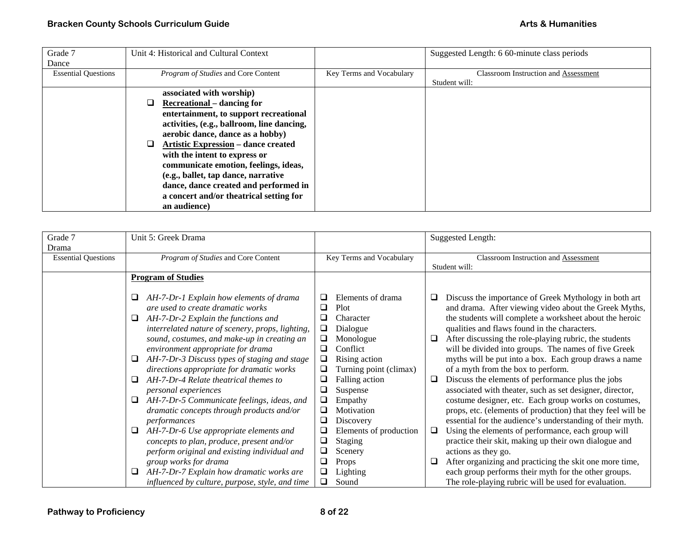| Grade 7                    | Unit 4: Historical and Cultural Context |                                            |                          | Suggested Length: 6 60-minute class periods |
|----------------------------|-----------------------------------------|--------------------------------------------|--------------------------|---------------------------------------------|
| Dance                      |                                         |                                            |                          |                                             |
| <b>Essential Questions</b> |                                         | <i>Program of Studies</i> and Core Content | Key Terms and Vocabulary | <b>Classroom Instruction and Assessment</b> |
|                            |                                         |                                            |                          | Student will:                               |
|                            |                                         | associated with worship)                   |                          |                                             |
|                            |                                         | <b>Recreational</b> – dancing for          |                          |                                             |
|                            |                                         | entertainment, to support recreational     |                          |                                             |
|                            |                                         | activities, (e.g., ballroom, line dancing, |                          |                                             |
|                            |                                         | aerobic dance, dance as a hobby)           |                          |                                             |
|                            |                                         | <b>Artistic Expression – dance created</b> |                          |                                             |
|                            |                                         | with the intent to express or              |                          |                                             |
|                            | communicate emotion, feelings, ideas,   |                                            |                          |                                             |
|                            |                                         | (e.g., ballet, tap dance, narrative        |                          |                                             |
|                            |                                         | dance, dance created and performed in      |                          |                                             |
|                            | a concert and/or theatrical setting for |                                            |                          |                                             |
|                            | an audience)                            |                                            |                          |                                             |

| Grade 7                    | Unit 5: Greek Drama                               |                             | <b>Suggested Length:</b>                                     |
|----------------------------|---------------------------------------------------|-----------------------------|--------------------------------------------------------------|
| Drama                      |                                                   |                             |                                                              |
| <b>Essential Questions</b> | Program of Studies and Core Content               | Key Terms and Vocabulary    | <b>Classroom Instruction and Assessment</b>                  |
|                            |                                                   |                             | Student will:                                                |
|                            | <b>Program of Studies</b>                         |                             |                                                              |
|                            |                                                   |                             |                                                              |
|                            | AH-7-Dr-1 Explain how elements of drama<br>⊔      | Elements of drama<br>⊔      | Discuss the importance of Greek Mythology in both art<br>u   |
|                            | are used to create dramatic works                 | □<br>Plot                   | and drama. After viewing video about the Greek Myths,        |
|                            | AH-7-Dr-2 Explain the functions and<br>⊔          | Character                   | the students will complete a worksheet about the heroic      |
|                            | interrelated nature of scenery, props, lighting,  | ❏<br>Dialogue               | qualities and flaws found in the characters.                 |
|                            | sound, costumes, and make-up in creating an       | □<br>Monologue              | After discussing the role-playing rubric, the students<br>□  |
|                            | environment appropriate for drama                 | ❏<br>Conflict               | will be divided into groups. The names of five Greek         |
|                            | AH-7-Dr-3 Discuss types of staging and stage<br>⊔ | ❏<br>Rising action          | myths will be put into a box. Each group draws a name        |
|                            | directions appropriate for dramatic works         | ⊔<br>Turning point (climax) | of a myth from the box to perform.                           |
|                            | AH-7-Dr-4 Relate theatrical themes to<br>❏        | Falling action              | Discuss the elements of performance plus the jobs<br>□       |
|                            | personal experiences                              | Suspense<br>$\Box$          | associated with theater, such as set designer, director,     |
|                            | AH-7-Dr-5 Communicate feelings, ideas, and<br>⊔   | ❏<br>Empathy                | costume designer, etc. Each group works on costumes,         |
|                            | dramatic concepts through products and/or         | Motivation                  | props, etc. (elements of production) that they feel will be  |
|                            | performances                                      | ❏<br>Discovery              | essential for the audience's understanding of their myth.    |
|                            | AH-7-Dr-6 Use appropriate elements and<br>⊔       | Elements of production      | Using the elements of performance, each group will<br>$\Box$ |
|                            | concepts to plan, produce, present and/or         | Staging<br>❏                | practice their skit, making up their own dialogue and        |
|                            | perform original and existing individual and      | ❏<br>Scenery                | actions as they go.                                          |
|                            | group works for drama                             | □<br>Props                  | After organizing and practicing the skit one more time,<br>□ |
|                            | AH-7-Dr-7 Explain how dramatic works are<br>⊔     | Lighting<br>⊔               | each group performs their myth for the other groups.         |
|                            | influenced by culture, purpose, style, and time   | Sound<br>□                  | The role-playing rubric will be used for evaluation.         |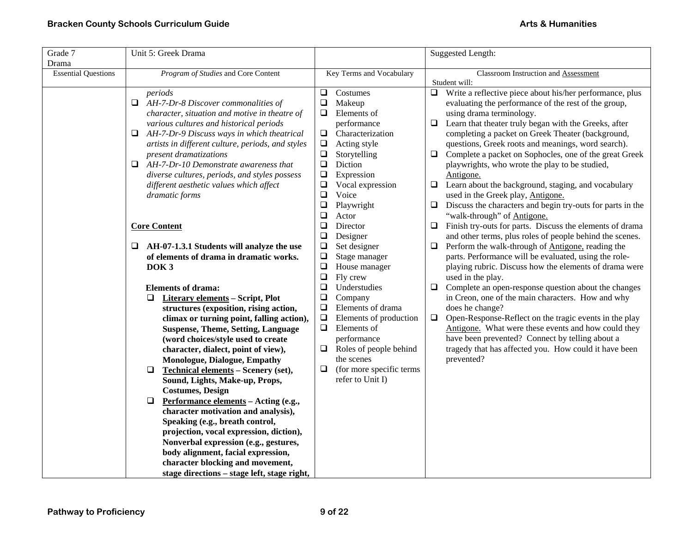| Grade 7                    | Unit 5: Greek Drama                                  |                                  | Suggested Length:                                                         |  |
|----------------------------|------------------------------------------------------|----------------------------------|---------------------------------------------------------------------------|--|
| Drama                      |                                                      |                                  |                                                                           |  |
| <b>Essential Questions</b> | Program of Studies and Core Content                  | Key Terms and Vocabulary         | Classroom Instruction and Assessment                                      |  |
|                            |                                                      | Costumes<br>⊔                    | Student will:<br>Write a reflective piece about his/her performance, plus |  |
|                            | periods<br>Q.<br>AH-7-Dr-8 Discover commonalities of | $\Box$<br>Makeup                 | ⊔<br>evaluating the performance of the rest of the group,                 |  |
|                            | character, situation and motive in theatre of        | Elements of<br>Q                 | using drama terminology.                                                  |  |
|                            |                                                      |                                  |                                                                           |  |
|                            | various cultures and historical periods              | performance                      | Learn that theater truly began with the Greeks, after<br>$\Box$           |  |
|                            | AH-7-Dr-9 Discuss ways in which theatrical<br>❏      | Characterization<br>❏            | completing a packet on Greek Theater (background,                         |  |
|                            | artists in different culture, periods, and styles    | $\Box$<br>Acting style           | questions, Greek roots and meanings, word search).                        |  |
|                            | present dramatizations                               | $\Box$<br>Storytelling           | Complete a packet on Sophocles, one of the great Greek<br>$\Box$          |  |
|                            | AH-7-Dr-10 Demonstrate awareness that<br>$\Box$      | Diction<br>$\Box$                | playwrights, who wrote the play to be studied,                            |  |
|                            | diverse cultures, periods, and styles possess        | Expression<br>$\Box$             | Antigone.                                                                 |  |
|                            | different aesthetic values which affect              | $\Box$<br>Vocal expression       | Learn about the background, staging, and vocabulary<br>$\Box$             |  |
|                            | dramatic forms                                       | $\Box$<br>Voice                  | used in the Greek play, Antigone.                                         |  |
|                            |                                                      | $\Box$<br>Playwright             | Discuss the characters and begin try-outs for parts in the<br>$\Box$      |  |
|                            |                                                      | $\Box$<br>Actor                  | "walk-through" of <b>Antigone</b> .                                       |  |
|                            | <b>Core Content</b>                                  | ❏<br>Director                    | Finish try-outs for parts. Discuss the elements of drama<br>□             |  |
|                            |                                                      | $\Box$<br>Designer               | and other terms, plus roles of people behind the scenes.                  |  |
|                            | AH-07-1.3.1 Students will analyze the use<br>⊔       | $\Box$<br>Set designer           | Perform the walk-through of <b>Antigone</b> , reading the<br>$\Box$       |  |
|                            | of elements of drama in dramatic works.              | $\Box$<br>Stage manager          | parts. Performance will be evaluated, using the role-                     |  |
|                            | DOK <sub>3</sub>                                     | $\Box$<br>House manager          | playing rubric. Discuss how the elements of drama were                    |  |
|                            |                                                      | $\Box$<br>Fly crew               | used in the play.                                                         |  |
|                            | <b>Elements of drama:</b>                            | $\Box$<br>Understudies           | $\Box$<br>Complete an open-response question about the changes            |  |
|                            | $\Box$<br><b>Literary elements - Script, Plot</b>    | $\Box$<br>Company                | in Creon, one of the main characters. How and why                         |  |
|                            | structures (exposition, rising action,               | Elements of drama<br>$\Box$      | does he change?                                                           |  |
|                            | climax or turning point, falling action),            | $\Box$<br>Elements of production | $\Box$<br>Open-Response-Reflect on the tragic events in the play          |  |
|                            | <b>Suspense, Theme, Setting, Language</b>            | $\Box$<br>Elements of            | Antigone. What were these events and how could they                       |  |
|                            | (word choices/style used to create                   | performance                      | have been prevented? Connect by telling about a                           |  |
|                            | character, dialect, point of view),                  | Roles of people behind<br>⊔      | tragedy that has affected you. How could it have been                     |  |
|                            | Monologue, Dialogue, Empathy                         | the scenes                       | prevented?                                                                |  |
|                            | $\Box$<br>Technical elements - Scenery (set),        | (for more specific terms<br>Q    |                                                                           |  |
|                            | Sound, Lights, Make-up, Props,                       | refer to Unit I)                 |                                                                           |  |
|                            | <b>Costumes, Design</b>                              |                                  |                                                                           |  |
|                            | $\Box$<br>Performance elements - Acting (e.g.,       |                                  |                                                                           |  |
|                            | character motivation and analysis),                  |                                  |                                                                           |  |
|                            | Speaking (e.g., breath control,                      |                                  |                                                                           |  |
|                            | projection, vocal expression, diction),              |                                  |                                                                           |  |
|                            | Nonverbal expression (e.g., gestures,                |                                  |                                                                           |  |
|                            | body alignment, facial expression,                   |                                  |                                                                           |  |
|                            | character blocking and movement,                     |                                  |                                                                           |  |
|                            | stage directions - stage left, stage right,          |                                  |                                                                           |  |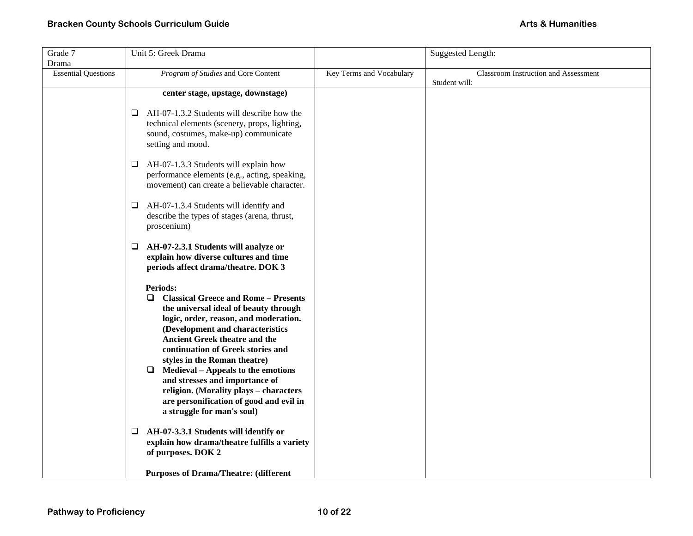| Grade 7                    | Unit 5: Greek Drama                                               |                          | <b>Suggested Length:</b>                              |
|----------------------------|-------------------------------------------------------------------|--------------------------|-------------------------------------------------------|
| Drama                      |                                                                   |                          |                                                       |
| <b>Essential Questions</b> | Program of Studies and Core Content                               | Key Terms and Vocabulary | Classroom Instruction and Assessment<br>Student will: |
|                            | center stage, upstage, downstage)                                 |                          |                                                       |
|                            |                                                                   |                          |                                                       |
|                            | AH-07-1.3.2 Students will describe how the<br>⊔                   |                          |                                                       |
|                            | technical elements (scenery, props, lighting,                     |                          |                                                       |
|                            | sound, costumes, make-up) communicate                             |                          |                                                       |
|                            | setting and mood.                                                 |                          |                                                       |
|                            | $\Box$ AH-07-1.3.3 Students will explain how                      |                          |                                                       |
|                            | performance elements (e.g., acting, speaking,                     |                          |                                                       |
|                            | movement) can create a believable character.                      |                          |                                                       |
|                            |                                                                   |                          |                                                       |
|                            | AH-07-1.3.4 Students will identify and<br>❏                       |                          |                                                       |
|                            | describe the types of stages (arena, thrust,<br>proscenium)       |                          |                                                       |
|                            |                                                                   |                          |                                                       |
|                            | AH-07-2.3.1 Students will analyze or<br>⊔                         |                          |                                                       |
|                            | explain how diverse cultures and time                             |                          |                                                       |
|                            | periods affect drama/theatre. DOK 3                               |                          |                                                       |
|                            | <b>Periods:</b>                                                   |                          |                                                       |
|                            | <b>Classical Greece and Rome - Presents</b><br>$\Box$             |                          |                                                       |
|                            | the universal ideal of beauty through                             |                          |                                                       |
|                            | logic, order, reason, and moderation.                             |                          |                                                       |
|                            | (Development and characteristics                                  |                          |                                                       |
|                            | <b>Ancient Greek theatre and the</b>                              |                          |                                                       |
|                            | continuation of Greek stories and<br>styles in the Roman theatre) |                          |                                                       |
|                            | $\Box$ Medieval – Appeals to the emotions                         |                          |                                                       |
|                            | and stresses and importance of                                    |                          |                                                       |
|                            | religion. (Morality plays - characters                            |                          |                                                       |
|                            | are personification of good and evil in                           |                          |                                                       |
|                            | a struggle for man's soul)                                        |                          |                                                       |
|                            | AH-07-3.3.1 Students will identify or<br>Q.                       |                          |                                                       |
|                            | explain how drama/theatre fulfills a variety                      |                          |                                                       |
|                            | of purposes. DOK 2                                                |                          |                                                       |
|                            |                                                                   |                          |                                                       |
|                            | <b>Purposes of Drama/Theatre: (different</b>                      |                          |                                                       |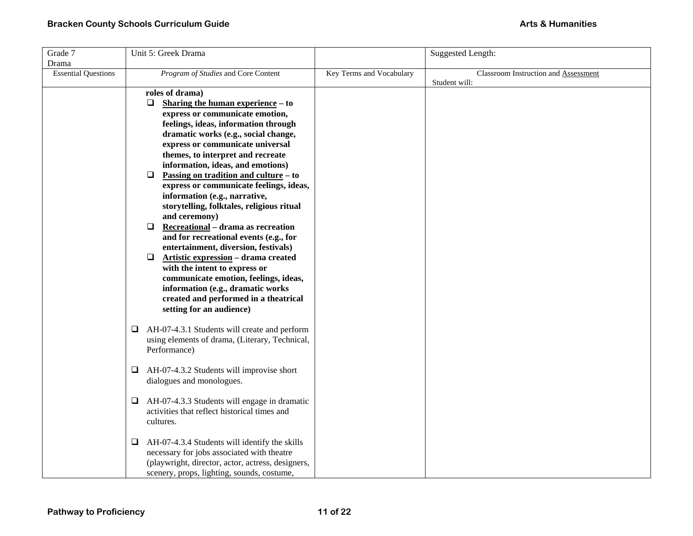| Grade 7                    | Unit 5: Greek Drama                                |                          | <b>Suggested Length:</b>             |
|----------------------------|----------------------------------------------------|--------------------------|--------------------------------------|
| Drama                      |                                                    |                          |                                      |
| <b>Essential Questions</b> | Program of Studies and Core Content                | Key Terms and Vocabulary | Classroom Instruction and Assessment |
|                            |                                                    |                          | Student will:                        |
|                            | roles of drama)                                    |                          |                                      |
|                            | $\Box$<br>Sharing the human experience – to        |                          |                                      |
|                            | express or communicate emotion,                    |                          |                                      |
|                            | feelings, ideas, information through               |                          |                                      |
|                            | dramatic works (e.g., social change,               |                          |                                      |
|                            | express or communicate universal                   |                          |                                      |
|                            | themes, to interpret and recreate                  |                          |                                      |
|                            | information, ideas, and emotions)                  |                          |                                      |
|                            | Passing on tradition and culture – to<br>❏         |                          |                                      |
|                            | express or communicate feelings, ideas,            |                          |                                      |
|                            | information (e.g., narrative,                      |                          |                                      |
|                            | storytelling, folktales, religious ritual          |                          |                                      |
|                            | and ceremony)                                      |                          |                                      |
|                            | Recreational - drama as recreation<br>$\Box$       |                          |                                      |
|                            | and for recreational events (e.g., for             |                          |                                      |
|                            | entertainment, diversion, festivals)               |                          |                                      |
|                            | $\Box$<br>Artistic expression - drama created      |                          |                                      |
|                            | with the intent to express or                      |                          |                                      |
|                            | communicate emotion, feelings, ideas,              |                          |                                      |
|                            | information (e.g., dramatic works                  |                          |                                      |
|                            | created and performed in a theatrical              |                          |                                      |
|                            | setting for an audience)                           |                          |                                      |
|                            |                                                    |                          |                                      |
|                            | AH-07-4.3.1 Students will create and perform<br>□  |                          |                                      |
|                            | using elements of drama, (Literary, Technical,     |                          |                                      |
|                            | Performance)                                       |                          |                                      |
|                            | AH-07-4.3.2 Students will improvise short<br>⊔     |                          |                                      |
|                            | dialogues and monologues.                          |                          |                                      |
|                            |                                                    |                          |                                      |
|                            | AH-07-4.3.3 Students will engage in dramatic<br>□  |                          |                                      |
|                            | activities that reflect historical times and       |                          |                                      |
|                            | cultures.                                          |                          |                                      |
|                            |                                                    |                          |                                      |
|                            | AH-07-4.3.4 Students will identify the skills<br>⊔ |                          |                                      |
|                            | necessary for jobs associated with theatre         |                          |                                      |
|                            | (playwright, director, actor, actress, designers,  |                          |                                      |
|                            | scenery, props, lighting, sounds, costume,         |                          |                                      |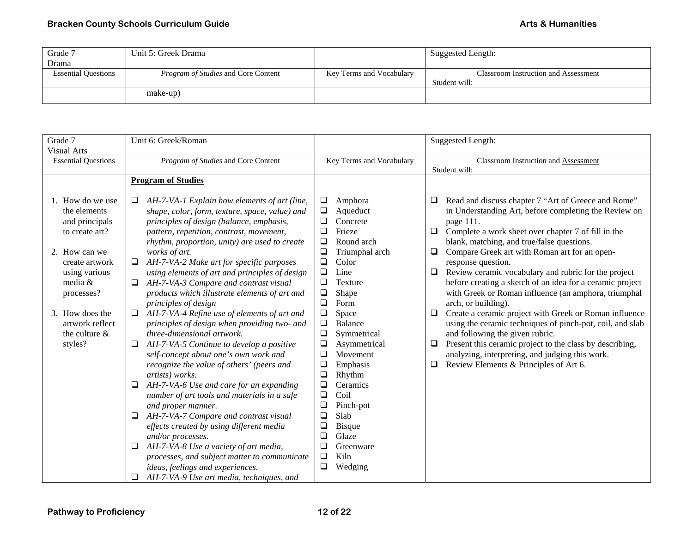| Grade 7                    | Unit 5: Greek Drama                        |                          | Suggested Length:                    |
|----------------------------|--------------------------------------------|--------------------------|--------------------------------------|
| Drama                      |                                            |                          |                                      |
| <b>Essential Questions</b> | <i>Program of Studies</i> and Core Content | Key Terms and Vocabulary | Classroom Instruction and Assessment |
|                            |                                            |                          | Student will:                        |
|                            | make-up)                                   |                          |                                      |

| Grade 7                                                                                                                                                                                                                     | Unit 6: Greek/Roman                                                                                                                                                                                                                                                                                                                                                                                                                                                                                                                                                                                                                                                                                                                                                                                                                                                                                                                                                                                                                                                                                                                                                                                        |                                                                                                                                                                                                                                                                                                                                                                                                                                                                                                                                       | <b>Suggested Length:</b>                                                                                                                                                                                                                                                                                                                                                                                                                                                                                                                                                                                                                                                                                                                                                                                                                                                            |
|-----------------------------------------------------------------------------------------------------------------------------------------------------------------------------------------------------------------------------|------------------------------------------------------------------------------------------------------------------------------------------------------------------------------------------------------------------------------------------------------------------------------------------------------------------------------------------------------------------------------------------------------------------------------------------------------------------------------------------------------------------------------------------------------------------------------------------------------------------------------------------------------------------------------------------------------------------------------------------------------------------------------------------------------------------------------------------------------------------------------------------------------------------------------------------------------------------------------------------------------------------------------------------------------------------------------------------------------------------------------------------------------------------------------------------------------------|---------------------------------------------------------------------------------------------------------------------------------------------------------------------------------------------------------------------------------------------------------------------------------------------------------------------------------------------------------------------------------------------------------------------------------------------------------------------------------------------------------------------------------------|-------------------------------------------------------------------------------------------------------------------------------------------------------------------------------------------------------------------------------------------------------------------------------------------------------------------------------------------------------------------------------------------------------------------------------------------------------------------------------------------------------------------------------------------------------------------------------------------------------------------------------------------------------------------------------------------------------------------------------------------------------------------------------------------------------------------------------------------------------------------------------------|
| <b>Visual Arts</b>                                                                                                                                                                                                          |                                                                                                                                                                                                                                                                                                                                                                                                                                                                                                                                                                                                                                                                                                                                                                                                                                                                                                                                                                                                                                                                                                                                                                                                            |                                                                                                                                                                                                                                                                                                                                                                                                                                                                                                                                       |                                                                                                                                                                                                                                                                                                                                                                                                                                                                                                                                                                                                                                                                                                                                                                                                                                                                                     |
| <b>Essential Questions</b>                                                                                                                                                                                                  | Program of Studies and Core Content                                                                                                                                                                                                                                                                                                                                                                                                                                                                                                                                                                                                                                                                                                                                                                                                                                                                                                                                                                                                                                                                                                                                                                        | Key Terms and Vocabulary                                                                                                                                                                                                                                                                                                                                                                                                                                                                                                              | Classroom Instruction and Assessment                                                                                                                                                                                                                                                                                                                                                                                                                                                                                                                                                                                                                                                                                                                                                                                                                                                |
|                                                                                                                                                                                                                             |                                                                                                                                                                                                                                                                                                                                                                                                                                                                                                                                                                                                                                                                                                                                                                                                                                                                                                                                                                                                                                                                                                                                                                                                            |                                                                                                                                                                                                                                                                                                                                                                                                                                                                                                                                       | Student will:                                                                                                                                                                                                                                                                                                                                                                                                                                                                                                                                                                                                                                                                                                                                                                                                                                                                       |
|                                                                                                                                                                                                                             | <b>Program of Studies</b>                                                                                                                                                                                                                                                                                                                                                                                                                                                                                                                                                                                                                                                                                                                                                                                                                                                                                                                                                                                                                                                                                                                                                                                  |                                                                                                                                                                                                                                                                                                                                                                                                                                                                                                                                       |                                                                                                                                                                                                                                                                                                                                                                                                                                                                                                                                                                                                                                                                                                                                                                                                                                                                                     |
| How do we use<br>1.<br>the elements<br>and principals<br>to create art?<br>2. How can we<br>create artwork<br>using various<br>media $&$<br>processes?<br>3. How does the<br>artwork reflect<br>the culture $\&$<br>styles? | AH-7-VA-1 Explain how elements of art (line,<br>□<br>shape, color, form, texture, space, value) and<br>principles of design (balance, emphasis,<br>pattern, repetition, contrast, movement,<br>rhythm, proportion, unity) are used to create<br>works of art.<br>AH-7-VA-2 Make art for specific purposes<br>□<br>using elements of art and principles of design<br>AH-7-VA-3 Compare and contrast visual<br>⊔<br>products which illustrate elements of art and<br>principles of design<br>AH-7-VA-4 Refine use of elements of art and<br>principles of design when providing two- and<br>three-dimensional artwork.<br>AH-7-VA-5 Continue to develop a positive<br>□<br>self-concept about one's own work and<br>recognize the value of others' (peers and<br>artists) works.<br>AH-7-VA-6 Use and care for an expanding<br>⊔<br>number of art tools and materials in a safe<br>and proper manner.<br>AH-7-VA-7 Compare and contrast visual<br>❏<br>effects created by using different media<br>and/or processes.<br>AH-7-VA-8 Use a variety of art media,<br>❏<br>processes, and subject matter to communicate<br>ideas, feelings and experiences.<br>AH-7-VA-9 Use art media, techniques, and<br>$\Box$ | $\Box$<br>Amphora<br>$\Box$<br>Aqueduct<br>❏<br>Concrete<br>$\Box$<br>Frieze<br>$\Box$<br>Round arch<br>$\Box$<br>Triumphal arch<br>□<br>Color<br>$\Box$<br>Line<br>❏<br>Texture<br>$\Box$<br>Shape<br>$\Box$<br>Form<br>$\Box$<br>Space<br>$\Box$<br>Balance<br>$\Box$<br>Symmetrical<br>$\Box$<br>Asymmetrical<br>❏<br>Movement<br>❏<br>Emphasis<br>$\Box$<br>Rhythm<br>❏<br>Ceramics<br>$\Box$<br>Coil<br>$\Box$<br>Pinch-pot<br>❏<br>Slab<br>❏<br><b>Bisque</b><br>□<br>Glaze<br>❏<br>Greenware<br>Kiln<br>$\Box$<br>❏<br>Wedging | Read and discuss chapter 7 "Art of Greece and Rome"<br>□<br>in Understanding Art, before completing the Review on<br>page 111.<br>Complete a work sheet over chapter 7 of fill in the<br>$\Box$<br>blank, matching, and true/false questions.<br>Compare Greek art with Roman art for an open-<br>$\Box$<br>response question.<br>Review ceramic vocabulary and rubric for the project<br>❏<br>before creating a sketch of an idea for a ceramic project<br>with Greek or Roman influence (an amphora, triumphal<br>arch, or building).<br>Create a ceramic project with Greek or Roman influence<br>$\Box$<br>using the ceramic techniques of pinch-pot, coil, and slab<br>and following the given rubric.<br>Present this ceramic project to the class by describing,<br>❏<br>analyzing, interpreting, and judging this work.<br>Review Elements & Principles of Art 6.<br>$\Box$ |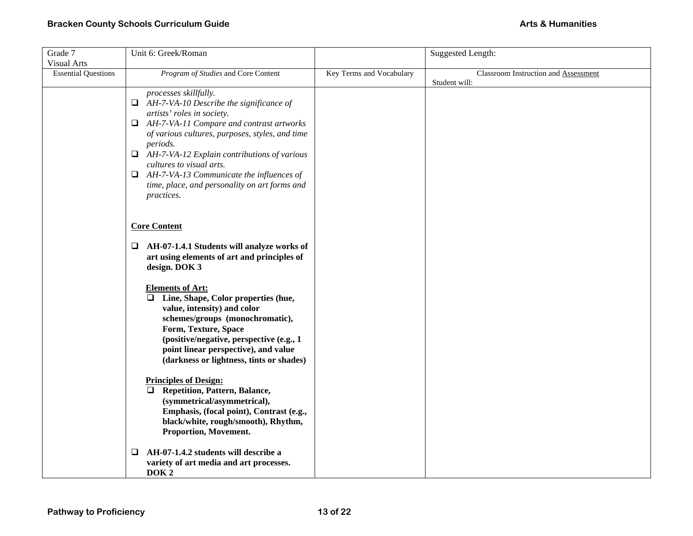| Grade 7                                          | Unit 6: Greek/Roman                                                                                                                                                                                                                                                                                                                                                                                                                |                          | Suggested Length:                                            |
|--------------------------------------------------|------------------------------------------------------------------------------------------------------------------------------------------------------------------------------------------------------------------------------------------------------------------------------------------------------------------------------------------------------------------------------------------------------------------------------------|--------------------------|--------------------------------------------------------------|
| <b>Visual Arts</b><br><b>Essential Questions</b> | Program of Studies and Core Content                                                                                                                                                                                                                                                                                                                                                                                                | Key Terms and Vocabulary | <b>Classroom Instruction and Assessment</b><br>Student will: |
|                                                  | processes skillfully.<br>$\Box$ AH-7-VA-10 Describe the significance of<br>artists' roles in society.<br>$\Box$ AH-7-VA-11 Compare and contrast artworks<br>of various cultures, purposes, styles, and time<br><i>periods.</i><br>$\Box$ AH-7-VA-12 Explain contributions of various<br>cultures to visual arts.<br>$\Box$ AH-7-VA-13 Communicate the influences of<br>time, place, and personality on art forms and<br>practices. |                          |                                                              |
|                                                  | <b>Core Content</b>                                                                                                                                                                                                                                                                                                                                                                                                                |                          |                                                              |
|                                                  | $\Box$ AH-07-1.4.1 Students will analyze works of<br>art using elements of art and principles of<br>design. DOK 3                                                                                                                                                                                                                                                                                                                  |                          |                                                              |
|                                                  | <b>Elements of Art:</b><br>Line, Shape, Color properties (hue,<br>$\Box$<br>value, intensity) and color<br>schemes/groups (monochromatic),<br>Form, Texture, Space<br>(positive/negative, perspective (e.g., 1)<br>point linear perspective), and value<br>(darkness or lightness, tints or shades)                                                                                                                                |                          |                                                              |
|                                                  | <b>Principles of Design:</b><br><b>Repetition, Pattern, Balance,</b><br>$\Box$<br>(symmetrical/asymmetrical),<br>Emphasis, (focal point), Contrast (e.g.,<br>black/white, rough/smooth), Rhythm,<br>Proportion, Movement.                                                                                                                                                                                                          |                          |                                                              |
|                                                  | AH-07-1.4.2 students will describe a<br>❏<br>variety of art media and art processes.<br>DOK <sub>2</sub>                                                                                                                                                                                                                                                                                                                           |                          |                                                              |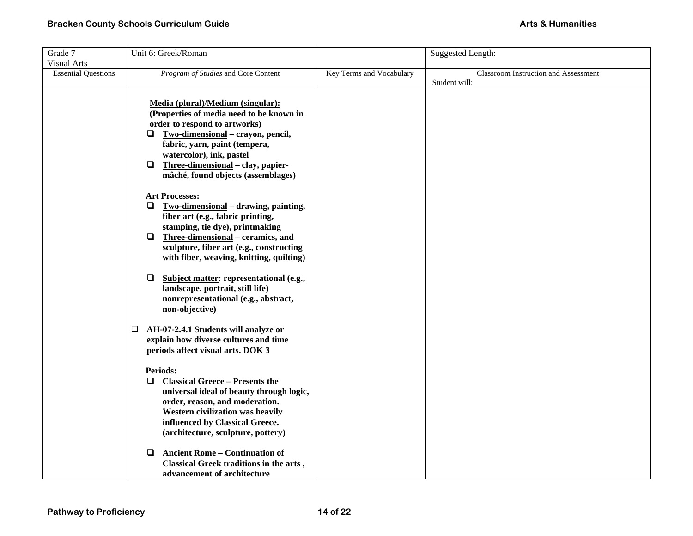| Grade 7                    | Unit 6: Greek/Roman                               |                          | Suggested Length:                    |
|----------------------------|---------------------------------------------------|--------------------------|--------------------------------------|
| <b>Visual Arts</b>         |                                                   |                          |                                      |
| <b>Essential Questions</b> | Program of Studies and Core Content               | Key Terms and Vocabulary | Classroom Instruction and Assessment |
|                            |                                                   |                          | Student will:                        |
|                            | Media (plural)/Medium (singular):                 |                          |                                      |
|                            | (Properties of media need to be known in          |                          |                                      |
|                            | order to respond to artworks)                     |                          |                                      |
|                            | Two-dimensional - crayon, pencil,<br>Q.           |                          |                                      |
|                            | fabric, yarn, paint (tempera,                     |                          |                                      |
|                            | watercolor), ink, pastel                          |                          |                                      |
|                            | Three-dimensional - clay, papier-<br>$\Box$       |                          |                                      |
|                            | mâché, found objects (assemblages)                |                          |                                      |
|                            |                                                   |                          |                                      |
|                            | <b>Art Processes:</b>                             |                          |                                      |
|                            | $\Box$<br>Two-dimensional - drawing, painting,    |                          |                                      |
|                            | fiber art (e.g., fabric printing,                 |                          |                                      |
|                            | stamping, tie dye), printmaking                   |                          |                                      |
|                            | Three-dimensional - ceramics, and<br>$\Box$       |                          |                                      |
|                            | sculpture, fiber art (e.g., constructing          |                          |                                      |
|                            | with fiber, weaving, knitting, quilting)          |                          |                                      |
|                            |                                                   |                          |                                      |
|                            | Subject matter: representational (e.g.,<br>$\Box$ |                          |                                      |
|                            | landscape, portrait, still life)                  |                          |                                      |
|                            | nonrepresentational (e.g., abstract,              |                          |                                      |
|                            | non-objective)                                    |                          |                                      |
|                            | AH-07-2.4.1 Students will analyze or<br>□         |                          |                                      |
|                            | explain how diverse cultures and time             |                          |                                      |
|                            | periods affect visual arts. DOK 3                 |                          |                                      |
|                            |                                                   |                          |                                      |
|                            | <b>Periods:</b>                                   |                          |                                      |
|                            | <b>Classical Greece - Presents the</b><br>□       |                          |                                      |
|                            | universal ideal of beauty through logic,          |                          |                                      |
|                            | order, reason, and moderation.                    |                          |                                      |
|                            | Western civilization was heavily                  |                          |                                      |
|                            | influenced by Classical Greece.                   |                          |                                      |
|                            | (architecture, sculpture, pottery)                |                          |                                      |
|                            |                                                   |                          |                                      |
|                            | <b>Ancient Rome - Continuation of</b><br>$\Box$   |                          |                                      |
|                            | Classical Greek traditions in the arts,           |                          |                                      |
|                            | advancement of architecture                       |                          |                                      |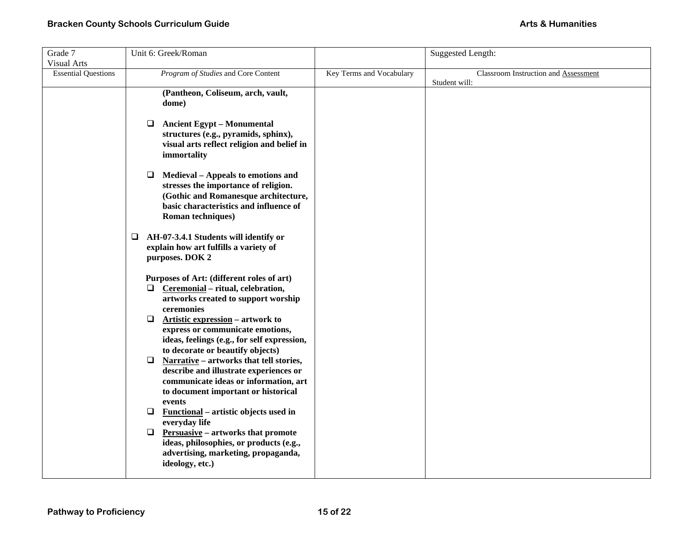| Grade 7                    | Unit 6: Greek/Roman                                                                                                                                                                                                                                                                                                                                                                                                                                                                                                                                                                                                                                                                                                                             |                          | Suggested Length:                                     |
|----------------------------|-------------------------------------------------------------------------------------------------------------------------------------------------------------------------------------------------------------------------------------------------------------------------------------------------------------------------------------------------------------------------------------------------------------------------------------------------------------------------------------------------------------------------------------------------------------------------------------------------------------------------------------------------------------------------------------------------------------------------------------------------|--------------------------|-------------------------------------------------------|
| <b>Visual Arts</b>         |                                                                                                                                                                                                                                                                                                                                                                                                                                                                                                                                                                                                                                                                                                                                                 |                          |                                                       |
| <b>Essential Questions</b> | Program of Studies and Core Content                                                                                                                                                                                                                                                                                                                                                                                                                                                                                                                                                                                                                                                                                                             | Key Terms and Vocabulary | Classroom Instruction and Assessment<br>Student will: |
|                            | (Pantheon, Coliseum, arch, vault,<br>dome)                                                                                                                                                                                                                                                                                                                                                                                                                                                                                                                                                                                                                                                                                                      |                          |                                                       |
|                            | <b>Ancient Egypt - Monumental</b><br>⊔<br>structures (e.g., pyramids, sphinx),<br>visual arts reflect religion and belief in<br>immortality                                                                                                                                                                                                                                                                                                                                                                                                                                                                                                                                                                                                     |                          |                                                       |
|                            | Medieval – Appeals to emotions and<br>❏<br>stresses the importance of religion.<br>(Gothic and Romanesque architecture,<br>basic characteristics and influence of<br>Roman techniques)                                                                                                                                                                                                                                                                                                                                                                                                                                                                                                                                                          |                          |                                                       |
|                            | AH-07-3.4.1 Students will identify or<br>⊔<br>explain how art fulfills a variety of<br>purposes. DOK 2                                                                                                                                                                                                                                                                                                                                                                                                                                                                                                                                                                                                                                          |                          |                                                       |
|                            | Purposes of Art: (different roles of art)<br>$\Box$ Ceremonial – ritual, celebration,<br>artworks created to support worship<br>ceremonies<br>$\Box$<br><b>Artistic expression</b> – artwork to<br>express or communicate emotions,<br>ideas, feelings (e.g., for self expression,<br>to decorate or beautify objects)<br>$\Box$<br>Narrative - artworks that tell stories,<br>describe and illustrate experiences or<br>communicate ideas or information, art<br>to document important or historical<br>events<br>$\Box$<br>Functional – artistic objects used in<br>everyday life<br><b>Persuasive</b> – artworks that promote<br>$\Box$<br>ideas, philosophies, or products (e.g.,<br>advertising, marketing, propaganda,<br>ideology, etc.) |                          |                                                       |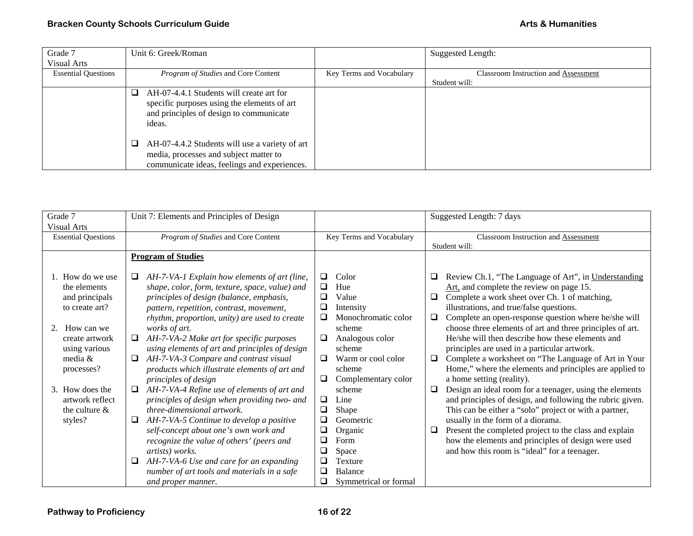| Grade 7                    | Unit 6: Greek/Roman                                                                                                                           |                          | Suggested Length:                           |
|----------------------------|-----------------------------------------------------------------------------------------------------------------------------------------------|--------------------------|---------------------------------------------|
| <b>Visual Arts</b>         |                                                                                                                                               |                          |                                             |
| <b>Essential Questions</b> | <i>Program of Studies</i> and Core Content                                                                                                    | Key Terms and Vocabulary | <b>Classroom Instruction and Assessment</b> |
|                            |                                                                                                                                               |                          | Student will:                               |
|                            | AH-07-4.4.1 Students will create art for<br>specific purposes using the elements of art<br>and principles of design to communicate<br>ideas.  |                          |                                             |
|                            | AH-07-4.4.2 Students will use a variety of art<br>⊔<br>media, processes and subject matter to<br>communicate ideas, feelings and experiences. |                          |                                             |

| Grade 7<br>Visual Arts                                                                                                                                                                                                 | Unit 7: Elements and Principles of Design                                                                                                                                                                                                                                                                                                                                                                                                                                                                                                                                                                                                                                                                                                                                                                                                |                                                                                                                                                                                                                                                                                                                                                      | Suggested Length: 7 days                                                                                                                                                                                                                                                                                                                                                                                                                                                                                                                                                                                                                                                                                                                                                                                                                                                                                                                                                                     |
|------------------------------------------------------------------------------------------------------------------------------------------------------------------------------------------------------------------------|------------------------------------------------------------------------------------------------------------------------------------------------------------------------------------------------------------------------------------------------------------------------------------------------------------------------------------------------------------------------------------------------------------------------------------------------------------------------------------------------------------------------------------------------------------------------------------------------------------------------------------------------------------------------------------------------------------------------------------------------------------------------------------------------------------------------------------------|------------------------------------------------------------------------------------------------------------------------------------------------------------------------------------------------------------------------------------------------------------------------------------------------------------------------------------------------------|----------------------------------------------------------------------------------------------------------------------------------------------------------------------------------------------------------------------------------------------------------------------------------------------------------------------------------------------------------------------------------------------------------------------------------------------------------------------------------------------------------------------------------------------------------------------------------------------------------------------------------------------------------------------------------------------------------------------------------------------------------------------------------------------------------------------------------------------------------------------------------------------------------------------------------------------------------------------------------------------|
| <b>Essential Questions</b>                                                                                                                                                                                             | Program of Studies and Core Content                                                                                                                                                                                                                                                                                                                                                                                                                                                                                                                                                                                                                                                                                                                                                                                                      | Key Terms and Vocabulary                                                                                                                                                                                                                                                                                                                             | <b>Classroom Instruction and Assessment</b><br>Student will:                                                                                                                                                                                                                                                                                                                                                                                                                                                                                                                                                                                                                                                                                                                                                                                                                                                                                                                                 |
|                                                                                                                                                                                                                        | <b>Program of Studies</b>                                                                                                                                                                                                                                                                                                                                                                                                                                                                                                                                                                                                                                                                                                                                                                                                                |                                                                                                                                                                                                                                                                                                                                                      |                                                                                                                                                                                                                                                                                                                                                                                                                                                                                                                                                                                                                                                                                                                                                                                                                                                                                                                                                                                              |
| How do we use<br>the elements<br>and principals<br>to create art?<br>2.<br>How can we<br>create artwork<br>using various<br>media &<br>processes?<br>3. How does the<br>artwork reflect<br>the culture $\&$<br>styles? | AH-7-VA-1 Explain how elements of art (line,<br>⊔<br>shape, color, form, texture, space, value) and<br>principles of design (balance, emphasis,<br>pattern, repetition, contrast, movement,<br>rhythm, proportion, unity) are used to create<br>works of art.<br>AH-7-VA-2 Make art for specific purposes<br>❏<br>using elements of art and principles of design<br>AH-7-VA-3 Compare and contrast visual<br>❏<br>products which illustrate elements of art and<br>principles of design<br>AH-7-VA-4 Refine use of elements of art and<br>$\Box$<br>principles of design when providing two- and<br>three-dimensional artwork.<br>AH-7-VA-5 Continue to develop a positive<br>❏<br>self-concept about one's own work and<br>recognize the value of others' (peers and<br>artists) works.<br>AH-7-VA-6 Use and care for an expanding<br>❏ | ❏<br>Color<br>Hue<br>$\Box$<br>Value<br>□<br>$\Box$<br>Intensity<br>❏<br>Monochromatic color<br>scheme<br>Analogous color<br>⊔<br>scheme<br>Warm or cool color<br>□<br>scheme<br>Complementary color<br>⊔<br>scheme<br>$\Box$<br>Line<br>$\Box$<br>Shape<br>□<br>Geometric<br>$\Box$<br>Organic<br>$\Box$<br>Form<br>$\Box$<br>Space<br>□<br>Texture | Review Ch.1, "The Language of Art", in Understanding<br>ч<br>Art, and complete the review on page 15.<br>Complete a work sheet over Ch. 1 of matching,<br>Q<br>illustrations, and true/false questions.<br>Complete an open-response question where he/she will<br>□<br>choose three elements of art and three principles of art.<br>He/she will then describe how these elements and<br>principles are used in a particular artwork.<br>Complete a worksheet on "The Language of Art in Your<br>□<br>Home," where the elements and principles are applied to<br>a home setting (reality).<br>Design an ideal room for a teenager, using the elements<br>□<br>and principles of design, and following the rubric given.<br>This can be either a "solo" project or with a partner,<br>usually in the form of a diorama.<br>Present the completed project to the class and explain<br>⊔<br>how the elements and principles of design were used<br>and how this room is "ideal" for a teenager. |
|                                                                                                                                                                                                                        | number of art tools and materials in a safe<br>and proper manner.                                                                                                                                                                                                                                                                                                                                                                                                                                                                                                                                                                                                                                                                                                                                                                        | □<br>Balance<br>□<br>Symmetrical or formal                                                                                                                                                                                                                                                                                                           |                                                                                                                                                                                                                                                                                                                                                                                                                                                                                                                                                                                                                                                                                                                                                                                                                                                                                                                                                                                              |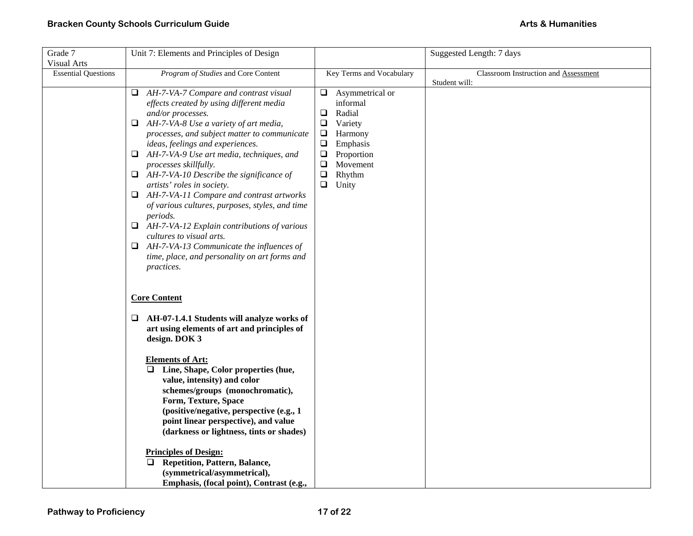| Grade 7                    | Unit 7: Elements and Principles of Design                                                    |                                       | Suggested Length: 7 days             |
|----------------------------|----------------------------------------------------------------------------------------------|---------------------------------------|--------------------------------------|
| <b>Visual Arts</b>         |                                                                                              |                                       |                                      |
| <b>Essential Questions</b> | Program of Studies and Core Content                                                          | Key Terms and Vocabulary              | Classroom Instruction and Assessment |
|                            |                                                                                              |                                       | Student will:                        |
|                            | $\Box$ AH-7-VA-7 Compare and contrast visual                                                 | $\Box$ Asymmetrical or                |                                      |
|                            | effects created by using different media                                                     | informal                              |                                      |
|                            | and/or processes.                                                                            | Radial<br>$\Box$<br>$\Box$<br>Variety |                                      |
|                            | $\Box$ AH-7-VA-8 Use a variety of art media,<br>processes, and subject matter to communicate | $\Box$<br>Harmony                     |                                      |
|                            | ideas, feelings and experiences.                                                             | $\Box$<br>Emphasis                    |                                      |
|                            | $\Box$ AH-7-VA-9 Use art media, techniques, and                                              | Proportion<br>$\Box$                  |                                      |
|                            | processes skillfully.                                                                        | Movement<br>$\Box$                    |                                      |
|                            | $\Box$ AH-7-VA-10 Describe the significance of                                               | $\Box$<br>Rhythm                      |                                      |
|                            | artists' roles in society.                                                                   | $\Box$ Unity                          |                                      |
|                            | $\Box$ AH-7-VA-11 Compare and contrast artworks                                              |                                       |                                      |
|                            | of various cultures, purposes, styles, and time                                              |                                       |                                      |
|                            | periods.                                                                                     |                                       |                                      |
|                            | $\Box$ AH-7-VA-12 Explain contributions of various                                           |                                       |                                      |
|                            | cultures to visual arts.                                                                     |                                       |                                      |
|                            | $\Box$ AH-7-VA-13 Communicate the influences of                                              |                                       |                                      |
|                            | time, place, and personality on art forms and                                                |                                       |                                      |
|                            | practices.                                                                                   |                                       |                                      |
|                            |                                                                                              |                                       |                                      |
|                            | <b>Core Content</b>                                                                          |                                       |                                      |
|                            |                                                                                              |                                       |                                      |
|                            | $\Box$ AH-07-1.4.1 Students will analyze works of                                            |                                       |                                      |
|                            | art using elements of art and principles of                                                  |                                       |                                      |
|                            | design. DOK 3                                                                                |                                       |                                      |
|                            |                                                                                              |                                       |                                      |
|                            | <b>Elements of Art:</b>                                                                      |                                       |                                      |
|                            | $\Box$ Line, Shape, Color properties (hue,                                                   |                                       |                                      |
|                            | value, intensity) and color                                                                  |                                       |                                      |
|                            | schemes/groups (monochromatic),                                                              |                                       |                                      |
|                            | Form, Texture, Space                                                                         |                                       |                                      |
|                            | (positive/negative, perspective (e.g., 1                                                     |                                       |                                      |
|                            | point linear perspective), and value                                                         |                                       |                                      |
|                            | (darkness or lightness, tints or shades)                                                     |                                       |                                      |
|                            | <b>Principles of Design:</b>                                                                 |                                       |                                      |
|                            | <b>Repetition, Pattern, Balance,</b><br>□                                                    |                                       |                                      |
|                            | (symmetrical/asymmetrical),                                                                  |                                       |                                      |
|                            | Emphasis, (focal point), Contrast (e.g.,                                                     |                                       |                                      |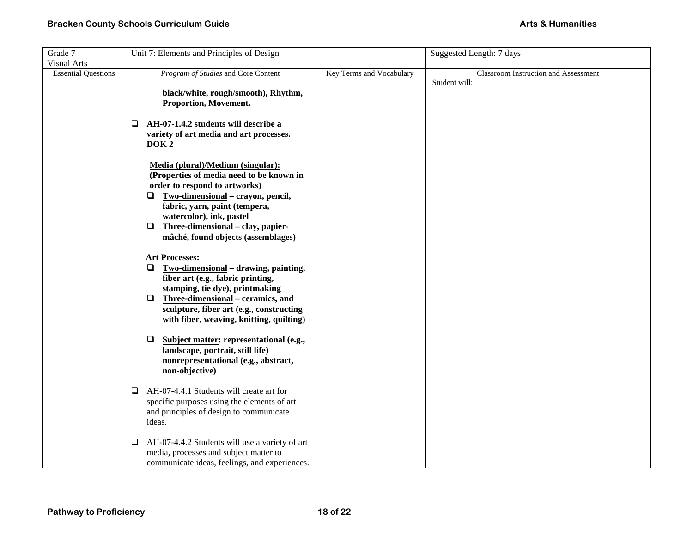| Grade 7                                          | Unit 7: Elements and Principles of Design                                                                                                                                                                                                                                                                                                                                                                                                                                                           |                          | Suggested Length: 7 days             |
|--------------------------------------------------|-----------------------------------------------------------------------------------------------------------------------------------------------------------------------------------------------------------------------------------------------------------------------------------------------------------------------------------------------------------------------------------------------------------------------------------------------------------------------------------------------------|--------------------------|--------------------------------------|
| <b>Visual Arts</b><br><b>Essential Questions</b> | Program of Studies and Core Content                                                                                                                                                                                                                                                                                                                                                                                                                                                                 | Key Terms and Vocabulary | Classroom Instruction and Assessment |
|                                                  | black/white, rough/smooth), Rhythm,<br>Proportion, Movement.<br>AH-07-1.4.2 students will describe a<br>□<br>variety of art media and art processes.<br>DOK <sub>2</sub>                                                                                                                                                                                                                                                                                                                            |                          | Student will:                        |
|                                                  | Media (plural)/Medium (singular):<br>(Properties of media need to be known in<br>order to respond to artworks)<br>Two-dimensional - crayon, pencil,<br>Q.<br>fabric, yarn, paint (tempera,<br>watercolor), ink, pastel<br>Three-dimensional - clay, papier-<br>□<br>mâché, found objects (assemblages)<br><b>Art Processes:</b><br>Two-dimensional - drawing, painting,<br>⊔<br>fiber art (e.g., fabric printing,<br>stamping, tie dye), printmaking<br>Three-dimensional – ceramics, and<br>$\Box$ |                          |                                      |
|                                                  | sculpture, fiber art (e.g., constructing<br>with fiber, weaving, knitting, quilting)<br>Subject matter: representational (e.g.,<br>$\Box$<br>landscape, portrait, still life)<br>nonrepresentational (e.g., abstract,<br>non-objective)<br>AH-07-4.4.1 Students will create art for<br>Q.                                                                                                                                                                                                           |                          |                                      |
|                                                  | specific purposes using the elements of art<br>and principles of design to communicate<br>ideas.                                                                                                                                                                                                                                                                                                                                                                                                    |                          |                                      |
|                                                  | AH-07-4.4.2 Students will use a variety of art<br>❏<br>media, processes and subject matter to<br>communicate ideas, feelings, and experiences.                                                                                                                                                                                                                                                                                                                                                      |                          |                                      |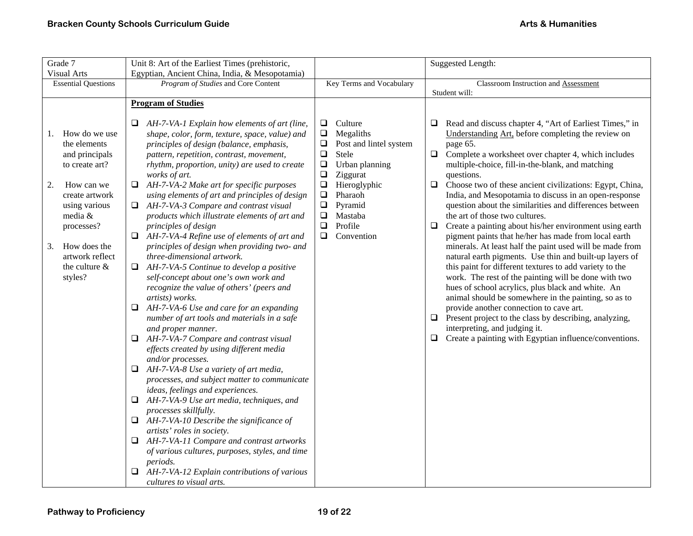| Grade 7                                                                                                                                                                                                                         | Unit 8: Art of the Earliest Times (prehistoric,                                                                                                                                                                                                                                                                                                                                                                                                                                                                                                                                                                                                                                                                                                                                                                                                                                                                                                                                                                                                                                                                                                                                                                                                                                                                                                                                                                                                                                                                             |                                                                                                                                                                                                                                                                                  | <b>Suggested Length:</b>                                                                                                                                                                                                                                                                                                                                                                                                                                                                                                                                                                                                                                                                                                                                                                                                                                                                                                                                                                                                                                                                                                                                                                         |
|---------------------------------------------------------------------------------------------------------------------------------------------------------------------------------------------------------------------------------|-----------------------------------------------------------------------------------------------------------------------------------------------------------------------------------------------------------------------------------------------------------------------------------------------------------------------------------------------------------------------------------------------------------------------------------------------------------------------------------------------------------------------------------------------------------------------------------------------------------------------------------------------------------------------------------------------------------------------------------------------------------------------------------------------------------------------------------------------------------------------------------------------------------------------------------------------------------------------------------------------------------------------------------------------------------------------------------------------------------------------------------------------------------------------------------------------------------------------------------------------------------------------------------------------------------------------------------------------------------------------------------------------------------------------------------------------------------------------------------------------------------------------------|----------------------------------------------------------------------------------------------------------------------------------------------------------------------------------------------------------------------------------------------------------------------------------|--------------------------------------------------------------------------------------------------------------------------------------------------------------------------------------------------------------------------------------------------------------------------------------------------------------------------------------------------------------------------------------------------------------------------------------------------------------------------------------------------------------------------------------------------------------------------------------------------------------------------------------------------------------------------------------------------------------------------------------------------------------------------------------------------------------------------------------------------------------------------------------------------------------------------------------------------------------------------------------------------------------------------------------------------------------------------------------------------------------------------------------------------------------------------------------------------|
| <b>Visual Arts</b>                                                                                                                                                                                                              | Egyptian, Ancient China, India, & Mesopotamia)                                                                                                                                                                                                                                                                                                                                                                                                                                                                                                                                                                                                                                                                                                                                                                                                                                                                                                                                                                                                                                                                                                                                                                                                                                                                                                                                                                                                                                                                              |                                                                                                                                                                                                                                                                                  |                                                                                                                                                                                                                                                                                                                                                                                                                                                                                                                                                                                                                                                                                                                                                                                                                                                                                                                                                                                                                                                                                                                                                                                                  |
| <b>Essential Questions</b>                                                                                                                                                                                                      | Program of Studies and Core Content                                                                                                                                                                                                                                                                                                                                                                                                                                                                                                                                                                                                                                                                                                                                                                                                                                                                                                                                                                                                                                                                                                                                                                                                                                                                                                                                                                                                                                                                                         | Key Terms and Vocabulary                                                                                                                                                                                                                                                         | Classroom Instruction and Assessment<br>Student will:                                                                                                                                                                                                                                                                                                                                                                                                                                                                                                                                                                                                                                                                                                                                                                                                                                                                                                                                                                                                                                                                                                                                            |
|                                                                                                                                                                                                                                 | <b>Program of Studies</b>                                                                                                                                                                                                                                                                                                                                                                                                                                                                                                                                                                                                                                                                                                                                                                                                                                                                                                                                                                                                                                                                                                                                                                                                                                                                                                                                                                                                                                                                                                   |                                                                                                                                                                                                                                                                                  |                                                                                                                                                                                                                                                                                                                                                                                                                                                                                                                                                                                                                                                                                                                                                                                                                                                                                                                                                                                                                                                                                                                                                                                                  |
| How do we use<br>1.<br>the elements<br>and principals<br>to create art?<br>How can we<br>2.<br>create artwork<br>using various<br>media &<br>processes?<br>How does the<br>3.<br>artwork reflect<br>the culture $\&$<br>styles? | AH-7-VA-1 Explain how elements of art (line,<br>⊔<br>shape, color, form, texture, space, value) and<br>principles of design (balance, emphasis,<br>pattern, repetition, contrast, movement,<br>rhythm, proportion, unity) are used to create<br>works of art.<br>AH-7-VA-2 Make art for specific purposes<br>❏<br>using elements of art and principles of design<br>AH-7-VA-3 Compare and contrast visual<br>Q.<br>products which illustrate elements of art and<br>principles of design<br>AH-7-VA-4 Refine use of elements of art and<br>o.<br>principles of design when providing two- and<br>three-dimensional artwork.<br>$\Box$ AH-7-VA-5 Continue to develop a positive<br>self-concept about one's own work and<br>recognize the value of others' (peers and<br>artists) works.<br>AH-7-VA-6 Use and care for an expanding<br>number of art tools and materials in a safe<br>and proper manner.<br>AH-7-VA-7 Compare and contrast visual<br>u<br>effects created by using different media<br>and/or processes.<br>AH-7-VA-8 Use a variety of art media,<br>□<br>processes, and subject matter to communicate<br>ideas, feelings and experiences.<br>AH-7-VA-9 Use art media, techniques, and<br>$\Box$<br>processes skillfully.<br>AH-7-VA-10 Describe the significance of<br>$\Box$<br>artists' roles in society.<br>AH-7-VA-11 Compare and contrast artworks<br>Q.<br>of various cultures, purposes, styles, and time<br>periods.<br>AH-7-VA-12 Explain contributions of various<br>❏<br>cultures to visual arts. | Culture<br>⊔<br>$\Box$<br>Megaliths<br>Post and lintel system<br>❏<br>$\Box$<br>Stele<br>$\Box$<br>Urban planning<br>$\square$<br>Ziggurat<br>$\Box$<br>Hieroglyphic<br>$\Box$<br>Pharaoh<br>$\Box$<br>Pyramid<br>$\Box$<br>Mastaba<br>$\Box$<br>Profile<br>$\Box$<br>Convention | Read and discuss chapter 4, "Art of Earliest Times," in<br>⊔<br>Understanding Art, before completing the review on<br>page 65.<br>$\Box$<br>Complete a worksheet over chapter 4, which includes<br>multiple-choice, fill-in-the-blank, and matching<br>questions.<br>Choose two of these ancient civilizations: Egypt, China,<br>$\Box$<br>India, and Mesopotamia to discuss in an open-response<br>question about the similarities and differences between<br>the art of those two cultures.<br>$\Box$<br>Create a painting about his/her environment using earth<br>pigment paints that he/her has made from local earth<br>minerals. At least half the paint used will be made from<br>natural earth pigments. Use thin and built-up layers of<br>this paint for different textures to add variety to the<br>work. The rest of the painting will be done with two<br>hues of school acrylics, plus black and white. An<br>animal should be somewhere in the painting, so as to<br>provide another connection to cave art.<br>Present project to the class by describing, analyzing,<br>□<br>interpreting, and judging it.<br>$\Box$<br>Create a painting with Egyptian influence/conventions. |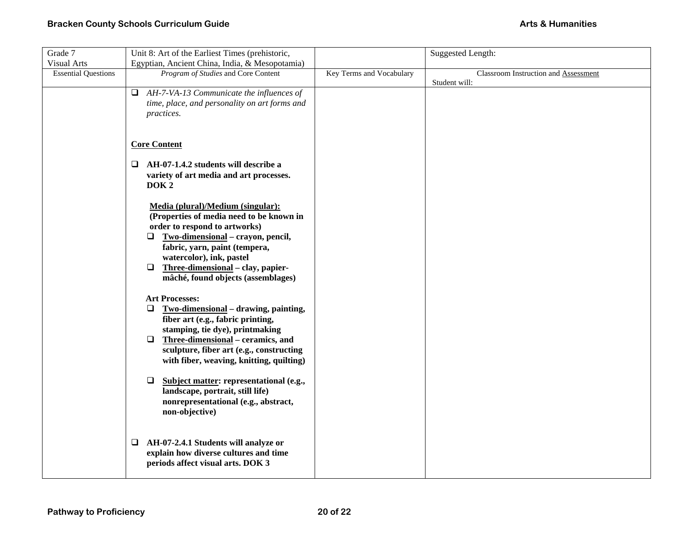| Grade 7                    | Unit 8: Art of the Earliest Times (prehistoric,                                                                                                                                                                                                                                                                                                                                 |                          | <b>Suggested Length:</b>                              |
|----------------------------|---------------------------------------------------------------------------------------------------------------------------------------------------------------------------------------------------------------------------------------------------------------------------------------------------------------------------------------------------------------------------------|--------------------------|-------------------------------------------------------|
| <b>Visual Arts</b>         | Egyptian, Ancient China, India, & Mesopotamia)                                                                                                                                                                                                                                                                                                                                  |                          |                                                       |
| <b>Essential Questions</b> | Program of Studies and Core Content                                                                                                                                                                                                                                                                                                                                             | Key Terms and Vocabulary | Classroom Instruction and Assessment<br>Student will: |
|                            | $\Box$ AH-7-VA-13 Communicate the influences of<br>time, place, and personality on art forms and<br>practices.                                                                                                                                                                                                                                                                  |                          |                                                       |
|                            | <b>Core Content</b>                                                                                                                                                                                                                                                                                                                                                             |                          |                                                       |
|                            | $\Box$ AH-07-1.4.2 students will describe a<br>variety of art media and art processes.<br>DOK <sub>2</sub>                                                                                                                                                                                                                                                                      |                          |                                                       |
|                            | Media (plural)/Medium (singular):<br>(Properties of media need to be known in<br>order to respond to artworks)<br>Two-dimensional - crayon, pencil,<br>Q.<br>fabric, yarn, paint (tempera,<br>watercolor), ink, pastel<br>$\Box$<br>Three-dimensional - clay, papier-<br>mâché, found objects (assemblages)                                                                     |                          |                                                       |
|                            | <b>Art Processes:</b><br>Two-dimensional - drawing, painting,<br>$\Box$<br>fiber art (e.g., fabric printing,<br>stamping, tie dye), printmaking<br>$\Box$<br>Three-dimensional – ceramics, and<br>sculpture, fiber art (e.g., constructing<br>with fiber, weaving, knitting, quilting)<br>Subject matter: representational (e.g.,<br>$\Box$<br>landscape, portrait, still life) |                          |                                                       |
|                            | nonrepresentational (e.g., abstract,<br>non-objective)<br>$\Box$ AH-07-2.4.1 Students will analyze or<br>explain how diverse cultures and time<br>periods affect visual arts. DOK 3                                                                                                                                                                                             |                          |                                                       |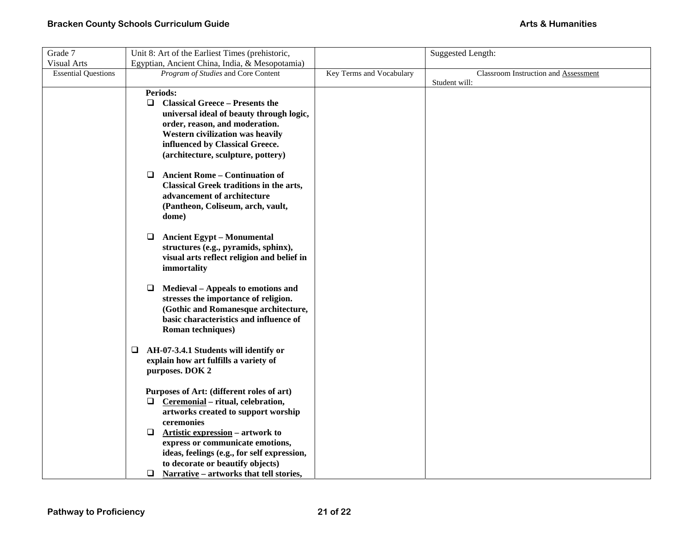| Grade 7                    | Unit 8: Art of the Earliest Times (prehistoric,   |                          | Suggested Length:                    |
|----------------------------|---------------------------------------------------|--------------------------|--------------------------------------|
| <b>Visual Arts</b>         | Egyptian, Ancient China, India, & Mesopotamia)    |                          |                                      |
| <b>Essential Questions</b> | Program of Studies and Core Content               | Key Terms and Vocabulary | Classroom Instruction and Assessment |
|                            |                                                   |                          | Student will:                        |
|                            | Periods:                                          |                          |                                      |
|                            | $\Box$<br><b>Classical Greece - Presents the</b>  |                          |                                      |
|                            | universal ideal of beauty through logic,          |                          |                                      |
|                            | order, reason, and moderation.                    |                          |                                      |
|                            | Western civilization was heavily                  |                          |                                      |
|                            | influenced by Classical Greece.                   |                          |                                      |
|                            | (architecture, sculpture, pottery)                |                          |                                      |
|                            | <b>Ancient Rome - Continuation of</b><br>$\Box$   |                          |                                      |
|                            | Classical Greek traditions in the arts,           |                          |                                      |
|                            | advancement of architecture                       |                          |                                      |
|                            | (Pantheon, Coliseum, arch, vault,                 |                          |                                      |
|                            | dome)                                             |                          |                                      |
|                            |                                                   |                          |                                      |
|                            | <b>Ancient Egypt - Monumental</b><br>⊔            |                          |                                      |
|                            | structures (e.g., pyramids, sphinx),              |                          |                                      |
|                            | visual arts reflect religion and belief in        |                          |                                      |
|                            | immortality                                       |                          |                                      |
|                            | Medieval – Appeals to emotions and<br>❏           |                          |                                      |
|                            | stresses the importance of religion.              |                          |                                      |
|                            | (Gothic and Romanesque architecture,              |                          |                                      |
|                            | basic characteristics and influence of            |                          |                                      |
|                            | <b>Roman techniques</b> )                         |                          |                                      |
|                            | AH-07-3.4.1 Students will identify or<br>Q.       |                          |                                      |
|                            | explain how art fulfills a variety of             |                          |                                      |
|                            | purposes. DOK 2                                   |                          |                                      |
|                            |                                                   |                          |                                      |
|                            | Purposes of Art: (different roles of art)         |                          |                                      |
|                            | Ceremonial - ritual, celebration,<br>□            |                          |                                      |
|                            | artworks created to support worship               |                          |                                      |
|                            | ceremonies                                        |                          |                                      |
|                            | ❏<br>Artistic expression - artwork to             |                          |                                      |
|                            | express or communicate emotions,                  |                          |                                      |
|                            | ideas, feelings (e.g., for self expression,       |                          |                                      |
|                            | to decorate or beautify objects)                  |                          |                                      |
|                            | $\Box$<br>Narrative – artworks that tell stories, |                          |                                      |